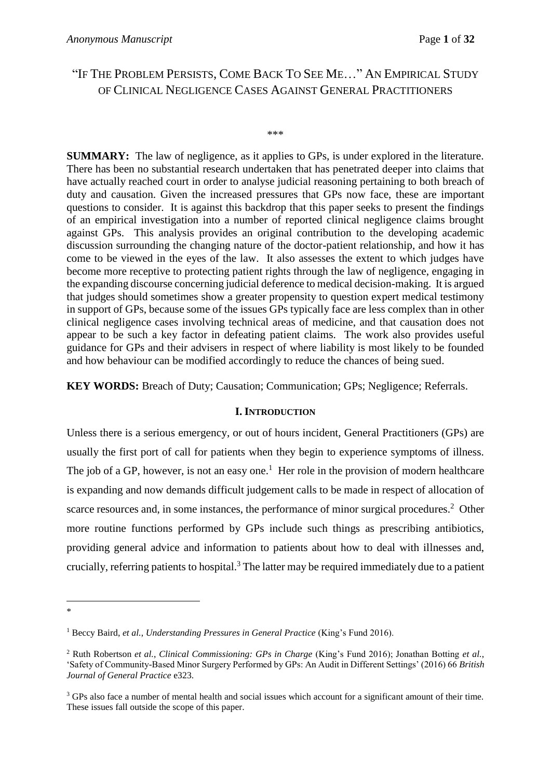# "IF THE PROBLEM PERSISTS, COME BACK TO SEE ME…" AN EMPIRICAL STUDY OF CLINICAL NEGLIGENCE CASES AGAINST GENERAL PRACTITIONERS

\*\*\*

**SUMMARY:** The law of negligence, as it applies to GPs, is under explored in the literature. There has been no substantial research undertaken that has penetrated deeper into claims that have actually reached court in order to analyse judicial reasoning pertaining to both breach of duty and causation. Given the increased pressures that GPs now face, these are important questions to consider. It is against this backdrop that this paper seeks to present the findings of an empirical investigation into a number of reported clinical negligence claims brought against GPs. This analysis provides an original contribution to the developing academic discussion surrounding the changing nature of the doctor-patient relationship, and how it has come to be viewed in the eyes of the law. It also assesses the extent to which judges have become more receptive to protecting patient rights through the law of negligence, engaging in the expanding discourse concerning judicial deference to medical decision-making. It is argued that judges should sometimes show a greater propensity to question expert medical testimony in support of GPs, because some of the issues GPs typically face are less complex than in other clinical negligence cases involving technical areas of medicine, and that causation does not appear to be such a key factor in defeating patient claims. The work also provides useful guidance for GPs and their advisers in respect of where liability is most likely to be founded and how behaviour can be modified accordingly to reduce the chances of being sued.

**KEY WORDS:** Breach of Duty; Causation; Communication; GPs; Negligence; Referrals.

# **I. INTRODUCTION**

Unless there is a serious emergency, or out of hours incident, General Practitioners (GPs) are usually the first port of call for patients when they begin to experience symptoms of illness. The job of a GP, however, is not an easy one.<sup>1</sup> Her role in the provision of modern healthcare is expanding and now demands difficult judgement calls to be made in respect of allocation of scarce resources and, in some instances, the performance of minor surgical procedures.<sup>2</sup> Other more routine functions performed by GPs include such things as prescribing antibiotics, providing general advice and information to patients about how to deal with illnesses and, crucially, referring patients to hospital.<sup>3</sup> The latter may be required immediately due to a patient

**<sup>.</sup>** \*

<sup>1</sup> Beccy Baird, *et al.*, *Understanding Pressures in General Practice* (King's Fund 2016).

<sup>2</sup> Ruth Robertson *et al.*, *Clinical Commissioning: GPs in Charge* (King's Fund 2016); Jonathan Botting *et al.*, 'Safety of Community-Based Minor Surgery Performed by GPs: An Audit in Different Settings' (2016) 66 *British Journal of General Practice* e323.

<sup>&</sup>lt;sup>3</sup> GPs also face a number of mental health and social issues which account for a significant amount of their time. These issues fall outside the scope of this paper.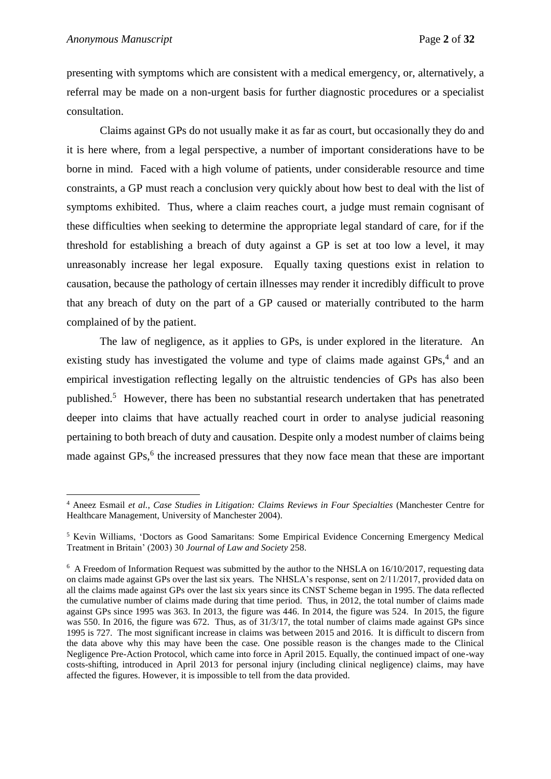**.** 

presenting with symptoms which are consistent with a medical emergency, or, alternatively, a referral may be made on a non-urgent basis for further diagnostic procedures or a specialist consultation.

Claims against GPs do not usually make it as far as court, but occasionally they do and it is here where, from a legal perspective, a number of important considerations have to be borne in mind. Faced with a high volume of patients, under considerable resource and time constraints, a GP must reach a conclusion very quickly about how best to deal with the list of symptoms exhibited. Thus, where a claim reaches court, a judge must remain cognisant of these difficulties when seeking to determine the appropriate legal standard of care, for if the threshold for establishing a breach of duty against a GP is set at too low a level, it may unreasonably increase her legal exposure. Equally taxing questions exist in relation to causation, because the pathology of certain illnesses may render it incredibly difficult to prove that any breach of duty on the part of a GP caused or materially contributed to the harm complained of by the patient.

The law of negligence, as it applies to GPs, is under explored in the literature. An existing study has investigated the volume and type of claims made against GPs,<sup>4</sup> and an empirical investigation reflecting legally on the altruistic tendencies of GPs has also been published. 5 However, there has been no substantial research undertaken that has penetrated deeper into claims that have actually reached court in order to analyse judicial reasoning pertaining to both breach of duty and causation. Despite only a modest number of claims being made against GPs,<sup>6</sup> the increased pressures that they now face mean that these are important

<sup>4</sup> Aneez Esmail *et al.*, *Case Studies in Litigation: Claims Reviews in Four Specialties* (Manchester Centre for Healthcare Management, University of Manchester 2004).

<sup>5</sup> Kevin Williams, 'Doctors as Good Samaritans: Some Empirical Evidence Concerning Emergency Medical Treatment in Britain' (2003) 30 *Journal of Law and Society* 258.

<sup>&</sup>lt;sup>6</sup> A Freedom of Information Request was submitted by the author to the NHSLA on 16/10/2017, requesting data on claims made against GPs over the last six years. The NHSLA's response, sent on 2/11/2017, provided data on all the claims made against GPs over the last six years since its CNST Scheme began in 1995. The data reflected the cumulative number of claims made during that time period. Thus, in 2012, the total number of claims made against GPs since 1995 was 363. In 2013, the figure was 446. In 2014, the figure was 524. In 2015, the figure was 550. In 2016, the figure was 672. Thus, as of 31/3/17, the total number of claims made against GPs since 1995 is 727. The most significant increase in claims was between 2015 and 2016. It is difficult to discern from the data above why this may have been the case. One possible reason is the changes made to the Clinical Negligence Pre-Action Protocol, which came into force in April 2015. Equally, the continued impact of one-way costs-shifting, introduced in April 2013 for personal injury (including clinical negligence) claims, may have affected the figures. However, it is impossible to tell from the data provided.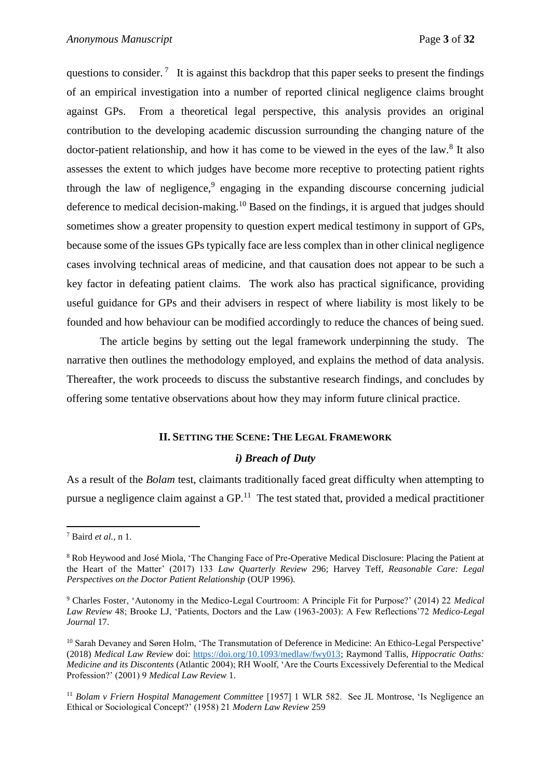questions to consider.<sup>7</sup> It is against this backdrop that this paper seeks to present the findings of an empirical investigation into a number of reported clinical negligence claims brought against GPs. From a theoretical legal perspective, this analysis provides an original contribution to the developing academic discussion surrounding the changing nature of the doctor-patient relationship, and how it has come to be viewed in the eyes of the law.<sup>8</sup> It also assesses the extent to which judges have become more receptive to protecting patient rights through the law of negligence,  $9$  engaging in the expanding discourse concerning judicial deference to medical decision-making.<sup>10</sup> Based on the findings, it is argued that judges should sometimes show a greater propensity to question expert medical testimony in support of GPs, because some of the issues GPs typically face are less complex than in other clinical negligence cases involving technical areas of medicine, and that causation does not appear to be such a key factor in defeating patient claims. The work also has practical significance, providing useful guidance for GPs and their advisers in respect of where liability is most likely to be founded and how behaviour can be modified accordingly to reduce the chances of being sued.

The article begins by setting out the legal framework underpinning the study. The narrative then outlines the methodology employed, and explains the method of data analysis. Thereafter, the work proceeds to discuss the substantive research findings, and concludes by offering some tentative observations about how they may inform future clinical practice.

## **II. SETTING THE SCENE: THE LEGAL FRAMEWORK**

#### *i) Breach of Duty*

As a result of the *Bolam* test, claimants traditionally faced great difficulty when attempting to pursue a negligence claim against a  $GP<sup>11</sup>$ . The test stated that, provided a medical practitioner

<sup>7</sup> Baird *et al.*, n 1.

<sup>8</sup> Rob Heywood and José Miola, 'The Changing Face of Pre-Operative Medical Disclosure: Placing the Patient at the Heart of the Matter' (2017) 133 *Law Quarterly Review* 296; Harvey Teff, *Reasonable Care: Legal Perspectives on the Doctor Patient Relationship* (OUP 1996).

<sup>9</sup> Charles Foster, 'Autonomy in the Medico-Legal Courtroom: A Principle Fit for Purpose?' (2014) 22 *Medical Law Review* 48; Brooke LJ, 'Patients, Doctors and the Law (1963-2003): A Few Reflections'72 *Medico-Legal Journal* 17.

<sup>&</sup>lt;sup>10</sup> Sarah Devaney and Søren Holm, 'The Transmutation of Deference in Medicine: An Ethico-Legal Perspective' (2018) *Medical Law Review* doi: [https://doi.org/10.1093/medlaw/fwy013;](https://doi.org/10.1093/medlaw/fwy013) Raymond Tallis, *Hippocratic Oaths: Medicine and its Discontents* (Atlantic 2004); RH Woolf, 'Are the Courts Excessively Deferential to the Medical Profession?' (2001) 9 *Medical Law Review* 1.

<sup>11</sup> *Bolam v Friern Hospital Management Committee* [1957] 1 WLR 582. See JL Montrose, 'Is Negligence an Ethical or Sociological Concept?' (1958) 21 *Modern Law Review* 259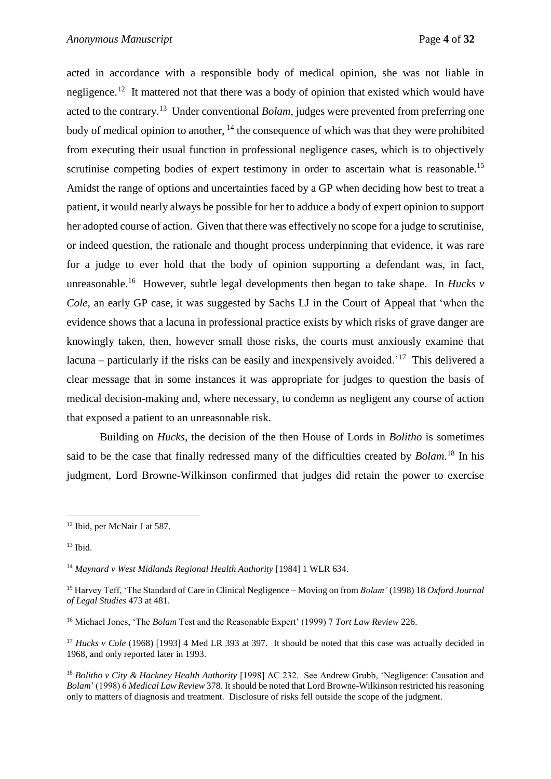acted in accordance with a responsible body of medical opinion, she was not liable in negligence.<sup>12</sup> It mattered not that there was a body of opinion that existed which would have acted to the contrary.<sup>13</sup> Under conventional *Bolam*, judges were prevented from preferring one body of medical opinion to another,  $14$  the consequence of which was that they were prohibited from executing their usual function in professional negligence cases, which is to objectively scrutinise competing bodies of expert testimony in order to ascertain what is reasonable.<sup>15</sup> Amidst the range of options and uncertainties faced by a GP when deciding how best to treat a patient, it would nearly always be possible for her to adduce a body of expert opinion to support her adopted course of action. Given that there was effectively no scope for a judge to scrutinise, or indeed question, the rationale and thought process underpinning that evidence, it was rare for a judge to ever hold that the body of opinion supporting a defendant was, in fact, unreasonable.<sup>16</sup> However, subtle legal developments then began to take shape. In *Hucks v Cole*, an early GP case, it was suggested by Sachs LJ in the Court of Appeal that 'when the evidence shows that a lacuna in professional practice exists by which risks of grave danger are knowingly taken, then, however small those risks, the courts must anxiously examine that lacuna – particularly if the risks can be easily and inexpensively avoided.<sup>17</sup> This delivered a clear message that in some instances it was appropriate for judges to question the basis of medical decision-making and, where necessary, to condemn as negligent any course of action that exposed a patient to an unreasonable risk.

Building on *Hucks*, the decision of the then House of Lords in *Bolitho* is sometimes said to be the case that finally redressed many of the difficulties created by *Bolam*. <sup>18</sup> In his judgment, Lord Browne-Wilkinson confirmed that judges did retain the power to exercise

<sup>12</sup> Ibid, per McNair J at 587.

 $13$  Ibid.

<sup>14</sup> *Maynard v West Midlands Regional Health Authority* [1984] 1 WLR 634.

<sup>15</sup> Harvey Teff, 'The Standard of Care in Clinical Negligence – Moving on from *Bolam'* (1998) 18 *Oxford Journal of Legal Studies* 473 at 481.

<sup>16</sup> Michael Jones, 'The *Bolam* Test and the Reasonable Expert' (1999) 7 *Tort Law Review* 226.

<sup>&</sup>lt;sup>17</sup> *Hucks v Cole* (1968) [1993] 4 Med LR 393 at 397. It should be noted that this case was actually decided in 1968, and only reported later in 1993.

<sup>18</sup> *Bolitho v City & Hackney Health Authority* [1998] AC 232. See Andrew Grubb, 'Negligence: Causation and *Bolam*' (1998) 6 *Medical Law Review* 378. It should be noted that Lord Browne-Wilkinson restricted his reasoning only to matters of diagnosis and treatment. Disclosure of risks fell outside the scope of the judgment.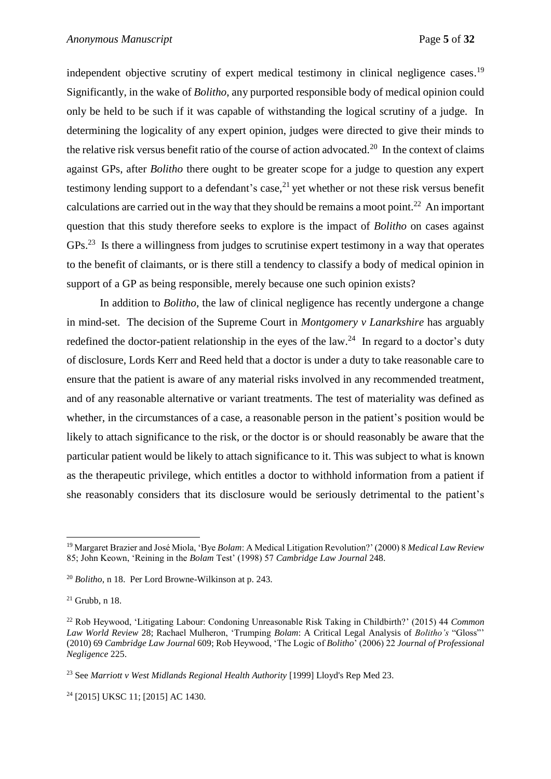independent objective scrutiny of expert medical testimony in clinical negligence cases.<sup>19</sup> Significantly, in the wake of *Bolitho*, any purported responsible body of medical opinion could only be held to be such if it was capable of withstanding the logical scrutiny of a judge. In determining the logicality of any expert opinion, judges were directed to give their minds to the relative risk versus benefit ratio of the course of action advocated.<sup>20</sup> In the context of claims against GPs, after *Bolitho* there ought to be greater scope for a judge to question any expert testimony lending support to a defendant's case, $^{21}$  yet whether or not these risk versus benefit calculations are carried out in the way that they should be remains a moot point.<sup>22</sup> An important question that this study therefore seeks to explore is the impact of *Bolitho* on cases against  $GPs<sup>23</sup>$  Is there a willingness from judges to scrutinise expert testimony in a way that operates to the benefit of claimants, or is there still a tendency to classify a body of medical opinion in support of a GP as being responsible, merely because one such opinion exists?

In addition to *Bolitho*, the law of clinical negligence has recently undergone a change in mind-set. The decision of the Supreme Court in *Montgomery v Lanarkshire* has arguably redefined the doctor-patient relationship in the eyes of the  $law.<sup>24</sup>$  In regard to a doctor's duty of disclosure, Lords Kerr and Reed held that a doctor is under a duty to take reasonable care to ensure that the patient is aware of any material risks involved in any recommended treatment, and of any reasonable alternative or variant treatments. The test of materiality was defined as whether, in the circumstances of a case, a reasonable person in the patient's position would be likely to attach significance to the risk, or the doctor is or should reasonably be aware that the particular patient would be likely to attach significance to it. This was subject to what is known as the therapeutic privilege, which entitles a doctor to withhold information from a patient if she reasonably considers that its disclosure would be seriously detrimental to the patient's

<sup>21</sup> Grubb, n 18.

<sup>19</sup> Margaret Brazier and José Miola, 'Bye *Bolam*: A Medical Litigation Revolution?' (2000) 8 *Medical Law Review* 85; John Keown, 'Reining in the *Bolam* Test' (1998) 57 *Cambridge Law Journal* 248.

<sup>20</sup> *Bolitho*, n 18. Per Lord Browne-Wilkinson at p. 243.

<sup>22</sup> Rob Heywood, 'Litigating Labour: Condoning Unreasonable Risk Taking in Childbirth?' (2015) 44 *Common Law World Review* 28; Rachael Mulheron, 'Trumping *Bolam*: A Critical Legal Analysis of *Bolitho's* "Gloss"' (2010) 69 *Cambridge Law Journal* 609; Rob Heywood, 'The Logic of *Bolitho*' (2006) 22 *Journal of Professional Negligence* 225.

<sup>23</sup> See *Marriott v West Midlands Regional Health Authority* [1999] Lloyd's Rep Med 23.

<sup>24</sup> [2015] UKSC 11; [2015] AC 1430.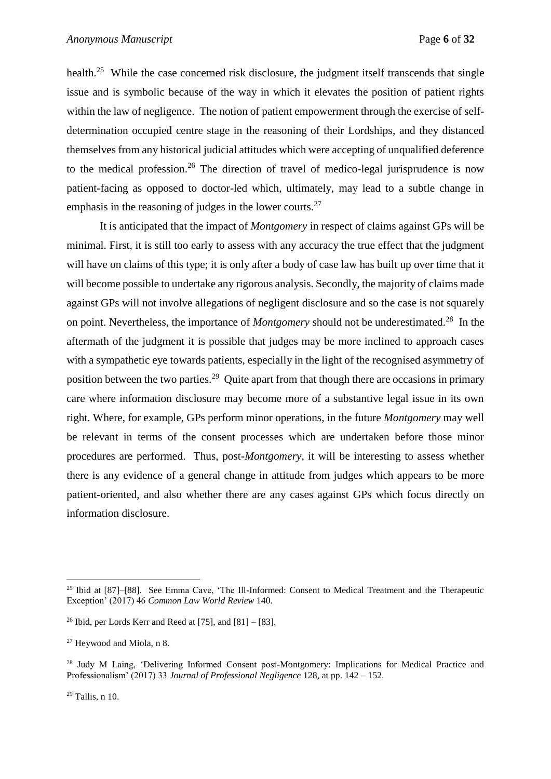health.<sup>25</sup> While the case concerned risk disclosure, the judgment itself transcends that single issue and is symbolic because of the way in which it elevates the position of patient rights within the law of negligence. The notion of patient empowerment through the exercise of selfdetermination occupied centre stage in the reasoning of their Lordships, and they distanced themselves from any historical judicial attitudes which were accepting of unqualified deference to the medical profession.<sup>26</sup> The direction of travel of medico-legal jurisprudence is now patient-facing as opposed to doctor-led which, ultimately, may lead to a subtle change in emphasis in the reasoning of judges in the lower courts. $27$ 

It is anticipated that the impact of *Montgomery* in respect of claims against GPs will be minimal. First, it is still too early to assess with any accuracy the true effect that the judgment will have on claims of this type; it is only after a body of case law has built up over time that it will become possible to undertake any rigorous analysis. Secondly, the majority of claims made against GPs will not involve allegations of negligent disclosure and so the case is not squarely on point. Nevertheless, the importance of *Montgomery* should not be underestimated.<sup>28</sup> In the aftermath of the judgment it is possible that judges may be more inclined to approach cases with a sympathetic eye towards patients, especially in the light of the recognised asymmetry of position between the two parties.<sup>29</sup> Quite apart from that though there are occasions in primary care where information disclosure may become more of a substantive legal issue in its own right. Where, for example, GPs perform minor operations, in the future *Montgomery* may well be relevant in terms of the consent processes which are undertaken before those minor procedures are performed. Thus, post-*Montgomery*, it will be interesting to assess whether there is any evidence of a general change in attitude from judges which appears to be more patient-oriented, and also whether there are any cases against GPs which focus directly on information disclosure.

 $\overline{a}$ 

<sup>&</sup>lt;sup>25</sup> Ibid at [87]–[88]. See Emma Cave, 'The Ill-Informed: Consent to Medical Treatment and the Therapeutic Exception' (2017) 46 *Common Law World Review* 140.

<sup>&</sup>lt;sup>26</sup> Ibid, per Lords Kerr and Reed at [75], and  $[81] - [83]$ .

<sup>27</sup> Heywood and Miola, n 8.

<sup>&</sup>lt;sup>28</sup> Judy M Laing, 'Delivering Informed Consent post-Montgomery: Implications for Medical Practice and Professionalism' (2017) 33 *Journal of Professional Negligence* 128, at pp. 142 – 152.

 $29$  Tallis, n 10.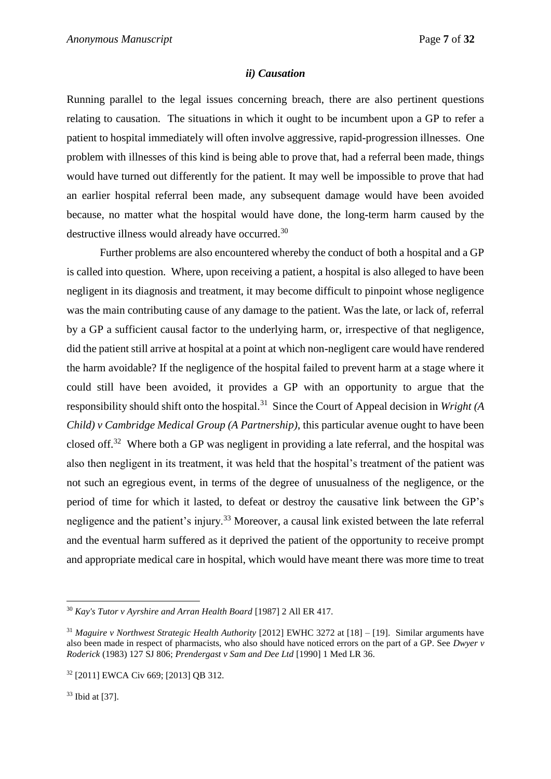# *ii) Causation*

Running parallel to the legal issues concerning breach, there are also pertinent questions relating to causation. The situations in which it ought to be incumbent upon a GP to refer a patient to hospital immediately will often involve aggressive, rapid-progression illnesses. One problem with illnesses of this kind is being able to prove that, had a referral been made, things would have turned out differently for the patient. It may well be impossible to prove that had an earlier hospital referral been made, any subsequent damage would have been avoided because, no matter what the hospital would have done, the long-term harm caused by the destructive illness would already have occurred.<sup>30</sup>

Further problems are also encountered whereby the conduct of both a hospital and a GP is called into question. Where, upon receiving a patient, a hospital is also alleged to have been negligent in its diagnosis and treatment, it may become difficult to pinpoint whose negligence was the main contributing cause of any damage to the patient. Was the late, or lack of, referral by a GP a sufficient causal factor to the underlying harm, or, irrespective of that negligence, did the patient still arrive at hospital at a point at which non-negligent care would have rendered the harm avoidable? If the negligence of the hospital failed to prevent harm at a stage where it could still have been avoided, it provides a GP with an opportunity to argue that the responsibility should shift onto the hospital.<sup>31</sup> Since the Court of Appeal decision in *Wright (A Child) v Cambridge Medical Group (A Partnership)*, this particular avenue ought to have been closed off.<sup>32</sup> Where both a GP was negligent in providing a late referral, and the hospital was also then negligent in its treatment, it was held that the hospital's treatment of the patient was not such an egregious event, in terms of the degree of unusualness of the negligence, or the period of time for which it lasted, to defeat or destroy the causative link between the GP's negligence and the patient's injury.<sup>33</sup> Moreover, a causal link existed between the late referral and the eventual harm suffered as it deprived the patient of the opportunity to receive prompt and appropriate medical care in hospital, which would have meant there was more time to treat

<sup>33</sup> Ibid at [37].

<sup>30</sup> *Kay's Tutor v Ayrshire and Arran Health Board* [1987] 2 All ER 417.

<sup>31</sup> *Maguire v Northwest Strategic Health Authority* [2012] EWHC 3272 at [18] – [19]. Similar arguments have also been made in respect of pharmacists, who also should have noticed errors on the part of a GP. See *Dwyer v Roderick* (1983) 127 SJ 806; *Prendergast v Sam and Dee Ltd* [1990] 1 Med LR 36.

<sup>32</sup> [2011] EWCA Civ 669; [2013] QB 312.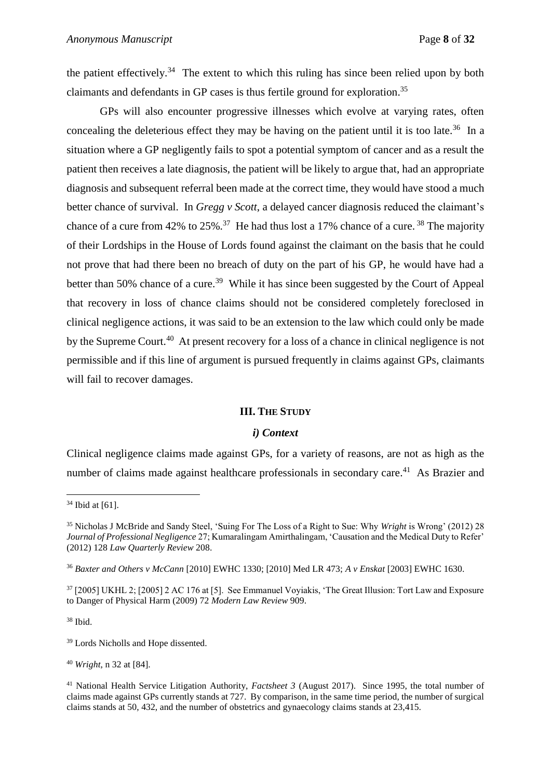the patient effectively.<sup>34</sup> The extent to which this ruling has since been relied upon by both claimants and defendants in GP cases is thus fertile ground for exploration. 35

GPs will also encounter progressive illnesses which evolve at varying rates, often concealing the deleterious effect they may be having on the patient until it is too late.<sup>36</sup> In a situation where a GP negligently fails to spot a potential symptom of cancer and as a result the patient then receives a late diagnosis, the patient will be likely to argue that, had an appropriate diagnosis and subsequent referral been made at the correct time, they would have stood a much better chance of survival. In *Gregg v Scott*, a delayed cancer diagnosis reduced the claimant's chance of a cure from 42% to 25%.<sup>37</sup> He had thus lost a 17% chance of a cure.<sup>38</sup> The majority of their Lordships in the House of Lords found against the claimant on the basis that he could not prove that had there been no breach of duty on the part of his GP, he would have had a better than 50% chance of a cure.<sup>39</sup> While it has since been suggested by the Court of Appeal that recovery in loss of chance claims should not be considered completely foreclosed in clinical negligence actions, it was said to be an extension to the law which could only be made by the Supreme Court.<sup>40</sup> At present recovery for a loss of a chance in clinical negligence is not permissible and if this line of argument is pursued frequently in claims against GPs, claimants will fail to recover damages.

#### **III. THE STUDY**

#### *i) Context*

Clinical negligence claims made against GPs, for a variety of reasons, are not as high as the number of claims made against healthcare professionals in secondary care.<sup>41</sup> As Brazier and

**.** 

<sup>37</sup> [2005] UKHL 2; [2005] 2 AC 176 at [5]. See Emmanuel Voyiakis, 'The Great Illusion: Tort Law and Exposure to Danger of Physical Harm (2009) 72 *Modern Law Review* 909.

<sup>38</sup> Ibid.

<sup>39</sup> Lords Nicholls and Hope dissented.

<sup>40</sup> *Wright*, n 32 at [84].

 $34$  Ibid at [61].

<sup>35</sup> Nicholas J McBride and Sandy Steel, 'Suing For The Loss of a Right to Sue: Why *Wright* is Wrong' (2012) 28 *Journal of Professional Negligence* 27; Kumaralingam Amirthalingam, 'Causation and the Medical Duty to Refer' (2012) 128 *Law Quarterly Review* 208.

<sup>36</sup> *Baxter and Others v McCann* [2010] EWHC 1330; [2010] Med LR 473; *A v Enskat* [2003] EWHC 1630.

<sup>41</sup> National Health Service Litigation Authority, *Factsheet 3* (August 2017). Since 1995, the total number of claims made against GPs currently stands at 727. By comparison, in the same time period, the number of surgical claims stands at 50, 432, and the number of obstetrics and gynaecology claims stands at 23,415.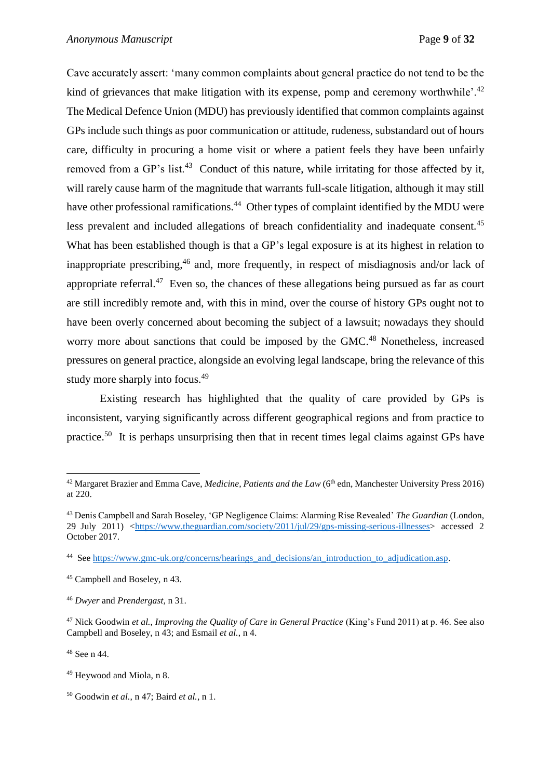Cave accurately assert: 'many common complaints about general practice do not tend to be the kind of grievances that make litigation with its expense, pomp and ceremony worthwhile'. $42$ The Medical Defence Union (MDU) has previously identified that common complaints against GPs include such things as poor communication or attitude, rudeness, substandard out of hours care, difficulty in procuring a home visit or where a patient feels they have been unfairly removed from a GP's list.<sup>43</sup> Conduct of this nature, while irritating for those affected by it, will rarely cause harm of the magnitude that warrants full-scale litigation, although it may still have other professional ramifications.<sup>44</sup> Other types of complaint identified by the MDU were less prevalent and included allegations of breach confidentiality and inadequate consent.<sup>45</sup> What has been established though is that a GP's legal exposure is at its highest in relation to inappropriate prescribing,<sup>46</sup> and, more frequently, in respect of misdiagnosis and/or lack of appropriate referral.<sup>47</sup> Even so, the chances of these allegations being pursued as far as court are still incredibly remote and, with this in mind, over the course of history GPs ought not to have been overly concerned about becoming the subject of a lawsuit; nowadays they should worry more about sanctions that could be imposed by the GMC.<sup>48</sup> Nonetheless, increased pressures on general practice, alongside an evolving legal landscape, bring the relevance of this study more sharply into focus.<sup>49</sup>

Existing research has highlighted that the quality of care provided by GPs is inconsistent, varying significantly across different geographical regions and from practice to practice.<sup>50</sup> It is perhaps unsurprising then that in recent times legal claims against GPs have

<sup>48</sup> See n 44.

<sup>&</sup>lt;sup>42</sup> Margaret Brazier and Emma Cave, *Medicine, Patients and the Law* (6<sup>th</sup> edn, Manchester University Press 2016) at 220.

<sup>43</sup> Denis Campbell and Sarah Boseley, 'GP Negligence Claims: Alarming Rise Revealed' *The Guardian* (London, 29 July 2011) [<https://www.theguardian.com/society/2011/jul/29/gps-missing-serious-illnesses>](https://www.theguardian.com/society/2011/jul/29/gps-missing-serious-illnesses) accessed 2 October 2017.

<sup>44</sup> See [https://www.gmc-uk.org/concerns/hearings\\_and\\_decisions/an\\_introduction\\_to\\_adjudication.asp.](https://www.gmc-uk.org/concerns/hearings_and_decisions/an_introduction_to_adjudication.asp)

<sup>45</sup> Campbell and Boseley, n 43.

<sup>46</sup> *Dwyer* and *Prendergast*, n 31.

<sup>47</sup> Nick Goodwin *et al.*, *Improving the Quality of Care in General Practice* (King's Fund 2011) at p. 46. See also Campbell and Boseley, n 43; and Esmail *et al.*, n 4.

<sup>49</sup> Heywood and Miola, n 8.

<sup>50</sup> Goodwin *et al.*, n 47; Baird *et al.*, n 1.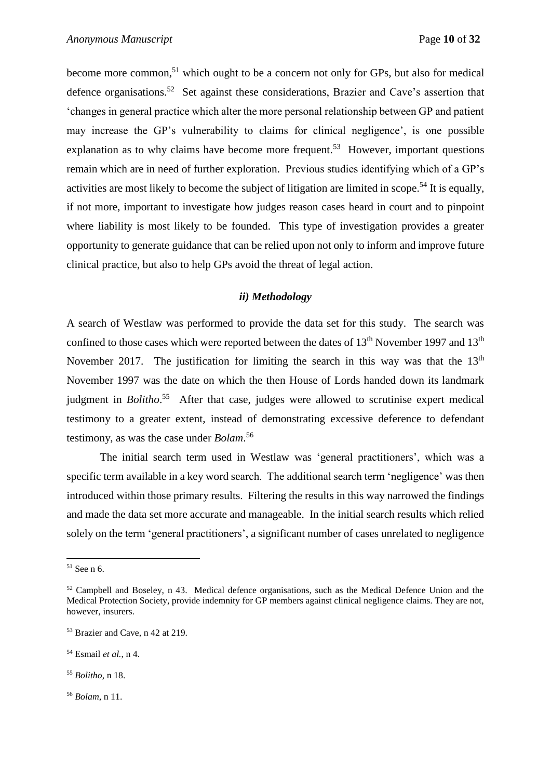become more common, <sup>51</sup> which ought to be a concern not only for GPs, but also for medical defence organisations.<sup>52</sup> Set against these considerations, Brazier and Cave's assertion that 'changes in general practice which alter the more personal relationship between GP and patient may increase the GP's vulnerability to claims for clinical negligence', is one possible explanation as to why claims have become more frequent.<sup>53</sup> However, important questions remain which are in need of further exploration. Previous studies identifying which of a GP's activities are most likely to become the subject of litigation are limited in scope.<sup>54</sup> It is equally, if not more, important to investigate how judges reason cases heard in court and to pinpoint where liability is most likely to be founded. This type of investigation provides a greater opportunity to generate guidance that can be relied upon not only to inform and improve future clinical practice, but also to help GPs avoid the threat of legal action.

## *ii) Methodology*

A search of Westlaw was performed to provide the data set for this study. The search was confined to those cases which were reported between the dates of  $13<sup>th</sup>$  November 1997 and  $13<sup>th</sup>$ November 2017. The justification for limiting the search in this way was that the  $13<sup>th</sup>$ November 1997 was the date on which the then House of Lords handed down its landmark judgment in *Bolitho*.<sup>55</sup> After that case, judges were allowed to scrutinise expert medical testimony to a greater extent, instead of demonstrating excessive deference to defendant testimony, as was the case under *Bolam*. 56

The initial search term used in Westlaw was 'general practitioners', which was a specific term available in a key word search. The additional search term 'negligence' was then introduced within those primary results. Filtering the results in this way narrowed the findings and made the data set more accurate and manageable. In the initial search results which relied solely on the term 'general practitioners', a significant number of cases unrelated to negligence

<sup>51</sup> See n 6.

<sup>52</sup> Campbell and Boseley, n 43. Medical defence organisations, such as the Medical Defence Union and the Medical Protection Society, provide indemnity for GP members against clinical negligence claims. They are not, however, insurers.

<sup>53</sup> Brazier and Cave, n 42 at 219.

<sup>54</sup> Esmail *et al.*, n 4.

<sup>55</sup> *Bolitho*, n 18.

<sup>56</sup> *Bolam*, n 11.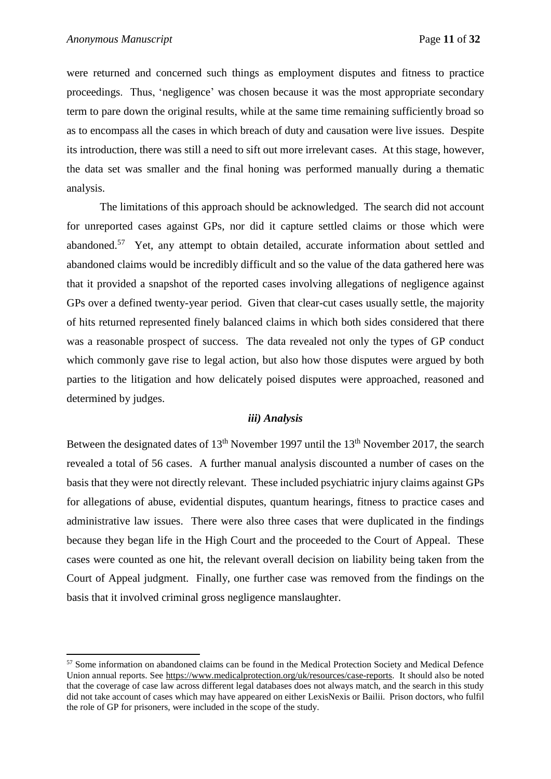1

were returned and concerned such things as employment disputes and fitness to practice proceedings. Thus, 'negligence' was chosen because it was the most appropriate secondary term to pare down the original results, while at the same time remaining sufficiently broad so as to encompass all the cases in which breach of duty and causation were live issues. Despite its introduction, there was still a need to sift out more irrelevant cases. At this stage, however, the data set was smaller and the final honing was performed manually during a thematic analysis.

The limitations of this approach should be acknowledged. The search did not account for unreported cases against GPs, nor did it capture settled claims or those which were abandoned.<sup>57</sup> Yet, any attempt to obtain detailed, accurate information about settled and abandoned claims would be incredibly difficult and so the value of the data gathered here was that it provided a snapshot of the reported cases involving allegations of negligence against GPs over a defined twenty-year period. Given that clear-cut cases usually settle, the majority of hits returned represented finely balanced claims in which both sides considered that there was a reasonable prospect of success. The data revealed not only the types of GP conduct which commonly gave rise to legal action, but also how those disputes were argued by both parties to the litigation and how delicately poised disputes were approached, reasoned and determined by judges.

#### *iii) Analysis*

Between the designated dates of  $13<sup>th</sup>$  November 1997 until the  $13<sup>th</sup>$  November 2017, the search revealed a total of 56 cases. A further manual analysis discounted a number of cases on the basis that they were not directly relevant. These included psychiatric injury claims against GPs for allegations of abuse, evidential disputes, quantum hearings, fitness to practice cases and administrative law issues. There were also three cases that were duplicated in the findings because they began life in the High Court and the proceeded to the Court of Appeal. These cases were counted as one hit, the relevant overall decision on liability being taken from the Court of Appeal judgment. Finally, one further case was removed from the findings on the basis that it involved criminal gross negligence manslaughter.

<sup>57</sup> Some information on abandoned claims can be found in the Medical Protection Society and Medical Defence Union annual reports. See [https://www.medicalprotection.org/uk/resources/case-reports.](https://www.medicalprotection.org/uk/resources/case-reports) It should also be noted that the coverage of case law across different legal databases does not always match, and the search in this study did not take account of cases which may have appeared on either LexisNexis or Bailii. Prison doctors, who fulfil the role of GP for prisoners, were included in the scope of the study.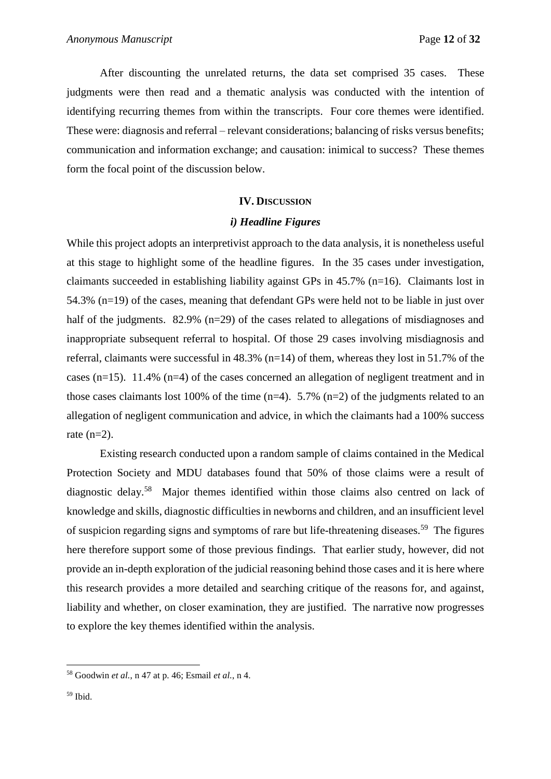After discounting the unrelated returns, the data set comprised 35 cases. These judgments were then read and a thematic analysis was conducted with the intention of identifying recurring themes from within the transcripts. Four core themes were identified. These were: diagnosis and referral – relevant considerations; balancing of risks versus benefits; communication and information exchange; and causation: inimical to success? These themes form the focal point of the discussion below.

## **IV. DISCUSSION**

## *i) Headline Figures*

While this project adopts an interpretivist approach to the data analysis, it is nonetheless useful at this stage to highlight some of the headline figures. In the 35 cases under investigation, claimants succeeded in establishing liability against GPs in 45.7% (n=16). Claimants lost in 54.3% (n=19) of the cases, meaning that defendant GPs were held not to be liable in just over half of the judgments. 82.9% (n=29) of the cases related to allegations of misdiagnoses and inappropriate subsequent referral to hospital. Of those 29 cases involving misdiagnosis and referral, claimants were successful in 48.3% (n=14) of them, whereas they lost in 51.7% of the cases (n=15). 11.4% (n=4) of the cases concerned an allegation of negligent treatment and in those cases claimants lost 100% of the time  $(n=4)$ . 5.7%  $(n=2)$  of the judgments related to an allegation of negligent communication and advice, in which the claimants had a 100% success rate  $(n=2)$ .

Existing research conducted upon a random sample of claims contained in the Medical Protection Society and MDU databases found that 50% of those claims were a result of diagnostic delay.<sup>58</sup> Major themes identified within those claims also centred on lack of knowledge and skills, diagnostic difficulties in newborns and children, and an insufficient level of suspicion regarding signs and symptoms of rare but life-threatening diseases.<sup>59</sup> The figures here therefore support some of those previous findings. That earlier study, however, did not provide an in-depth exploration of the judicial reasoning behind those cases and it is here where this research provides a more detailed and searching critique of the reasons for, and against, liability and whether, on closer examination, they are justified. The narrative now progresses to explore the key themes identified within the analysis.

<sup>58</sup> Goodwin *et al.*, n 47 at p. 46; Esmail *et al.*, n 4.

<sup>59</sup> Ibid.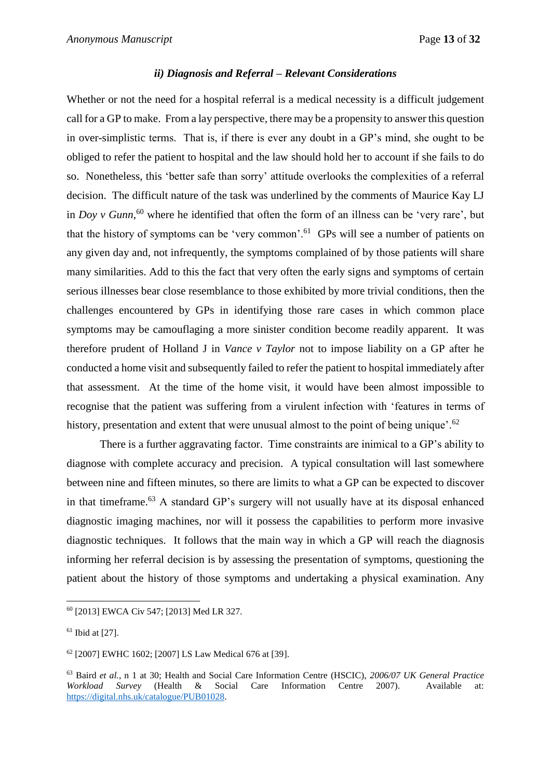# *ii) Diagnosis and Referral – Relevant Considerations*

Whether or not the need for a hospital referral is a medical necessity is a difficult judgement call for a GP to make. From a lay perspective, there may be a propensity to answer this question in over-simplistic terms. That is, if there is ever any doubt in a GP's mind, she ought to be obliged to refer the patient to hospital and the law should hold her to account if she fails to do so. Nonetheless, this 'better safe than sorry' attitude overlooks the complexities of a referral decision. The difficult nature of the task was underlined by the comments of Maurice Kay LJ in *Doy v Gunn*, <sup>60</sup> where he identified that often the form of an illness can be 'very rare', but that the history of symptoms can be 'very common'.<sup>61</sup> GPs will see a number of patients on any given day and, not infrequently, the symptoms complained of by those patients will share many similarities. Add to this the fact that very often the early signs and symptoms of certain serious illnesses bear close resemblance to those exhibited by more trivial conditions, then the challenges encountered by GPs in identifying those rare cases in which common place symptoms may be camouflaging a more sinister condition become readily apparent. It was therefore prudent of Holland J in *Vance v Taylor* not to impose liability on a GP after he conducted a home visit and subsequently failed to refer the patient to hospital immediately after that assessment. At the time of the home visit, it would have been almost impossible to recognise that the patient was suffering from a virulent infection with 'features in terms of history, presentation and extent that were unusual almost to the point of being unique'.<sup>62</sup>

There is a further aggravating factor. Time constraints are inimical to a GP's ability to diagnose with complete accuracy and precision. A typical consultation will last somewhere between nine and fifteen minutes, so there are limits to what a GP can be expected to discover in that timeframe.<sup>63</sup> A standard GP's surgery will not usually have at its disposal enhanced diagnostic imaging machines, nor will it possess the capabilities to perform more invasive diagnostic techniques. It follows that the main way in which a GP will reach the diagnosis informing her referral decision is by assessing the presentation of symptoms, questioning the patient about the history of those symptoms and undertaking a physical examination. Any

<sup>60</sup> [2013] EWCA Civ 547; [2013] Med LR 327.

<sup>61</sup> Ibid at [27].

<sup>62</sup> [2007] EWHC 1602; [2007] LS Law Medical 676 at [39].

<sup>63</sup> Baird *et al.*, n 1 at 30; Health and Social Care Information Centre (HSCIC), *2006/07 UK General Practice Workload Survey* (Health & Social Care Information Centre 2007). Available at: [https://digital.nhs.uk/catalogue/PUB01028.](https://digital.nhs.uk/catalogue/PUB01028)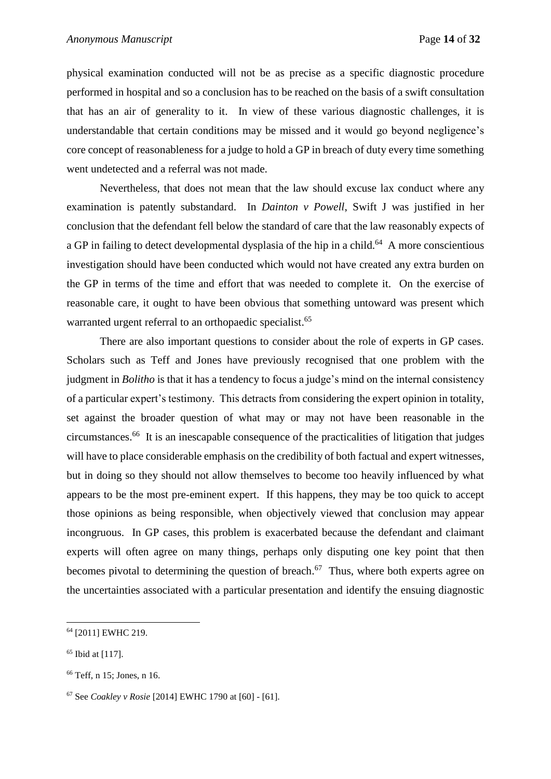physical examination conducted will not be as precise as a specific diagnostic procedure performed in hospital and so a conclusion has to be reached on the basis of a swift consultation that has an air of generality to it. In view of these various diagnostic challenges, it is understandable that certain conditions may be missed and it would go beyond negligence's core concept of reasonableness for a judge to hold a GP in breach of duty every time something went undetected and a referral was not made.

Nevertheless, that does not mean that the law should excuse lax conduct where any examination is patently substandard. In *Dainton v Powell*, Swift J was justified in her conclusion that the defendant fell below the standard of care that the law reasonably expects of a GP in failing to detect developmental dysplasia of the hip in a child.<sup>64</sup> A more conscientious investigation should have been conducted which would not have created any extra burden on the GP in terms of the time and effort that was needed to complete it. On the exercise of reasonable care, it ought to have been obvious that something untoward was present which warranted urgent referral to an orthopaedic specialist.<sup>65</sup>

There are also important questions to consider about the role of experts in GP cases. Scholars such as Teff and Jones have previously recognised that one problem with the judgment in *Bolitho* is that it has a tendency to focus a judge's mind on the internal consistency of a particular expert's testimony. This detracts from considering the expert opinion in totality, set against the broader question of what may or may not have been reasonable in the circumstances.<sup>66</sup> It is an inescapable consequence of the practicalities of litigation that judges will have to place considerable emphasis on the credibility of both factual and expert witnesses, but in doing so they should not allow themselves to become too heavily influenced by what appears to be the most pre-eminent expert. If this happens, they may be too quick to accept those opinions as being responsible, when objectively viewed that conclusion may appear incongruous. In GP cases, this problem is exacerbated because the defendant and claimant experts will often agree on many things, perhaps only disputing one key point that then becomes pivotal to determining the question of breach.<sup>67</sup> Thus, where both experts agree on the uncertainties associated with a particular presentation and identify the ensuing diagnostic

<sup>64</sup> [2011] EWHC 219.

<sup>65</sup> Ibid at [117].

<sup>66</sup> Teff, n 15; Jones, n 16.

<sup>67</sup> See *Coakley v Rosie* [2014] EWHC 1790 at [60] - [61].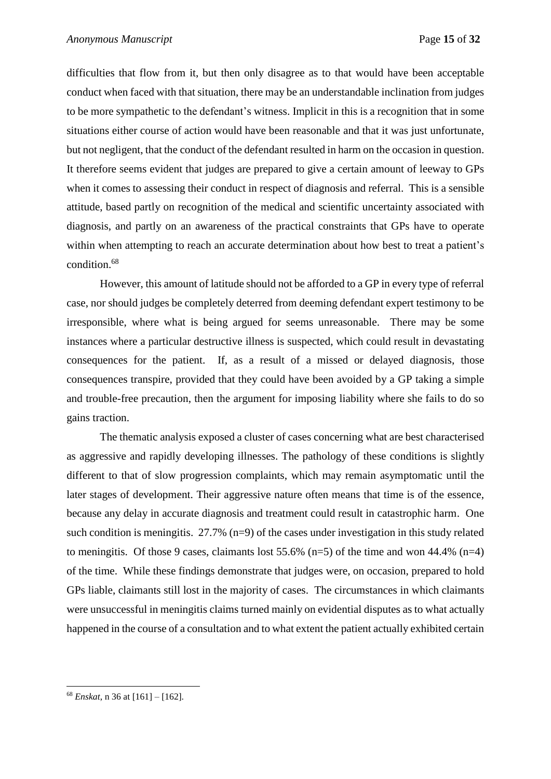difficulties that flow from it, but then only disagree as to that would have been acceptable conduct when faced with that situation, there may be an understandable inclination from judges to be more sympathetic to the defendant's witness. Implicit in this is a recognition that in some situations either course of action would have been reasonable and that it was just unfortunate, but not negligent, that the conduct of the defendant resulted in harm on the occasion in question. It therefore seems evident that judges are prepared to give a certain amount of leeway to GPs when it comes to assessing their conduct in respect of diagnosis and referral. This is a sensible attitude, based partly on recognition of the medical and scientific uncertainty associated with diagnosis, and partly on an awareness of the practical constraints that GPs have to operate within when attempting to reach an accurate determination about how best to treat a patient's condition. 68

However, this amount of latitude should not be afforded to a GP in every type of referral case, nor should judges be completely deterred from deeming defendant expert testimony to be irresponsible, where what is being argued for seems unreasonable. There may be some instances where a particular destructive illness is suspected, which could result in devastating consequences for the patient. If, as a result of a missed or delayed diagnosis, those consequences transpire, provided that they could have been avoided by a GP taking a simple and trouble-free precaution, then the argument for imposing liability where she fails to do so gains traction.

The thematic analysis exposed a cluster of cases concerning what are best characterised as aggressive and rapidly developing illnesses. The pathology of these conditions is slightly different to that of slow progression complaints, which may remain asymptomatic until the later stages of development. Their aggressive nature often means that time is of the essence, because any delay in accurate diagnosis and treatment could result in catastrophic harm. One such condition is meningitis. 27.7% (n=9) of the cases under investigation in this study related to meningitis. Of those 9 cases, claimants lost  $55.6\%$  (n=5) of the time and won 44.4% (n=4) of the time. While these findings demonstrate that judges were, on occasion, prepared to hold GPs liable, claimants still lost in the majority of cases. The circumstances in which claimants were unsuccessful in meningitis claims turned mainly on evidential disputes as to what actually happened in the course of a consultation and to what extent the patient actually exhibited certain

<sup>68</sup> *Enskat*, n 36 at [161] – [162].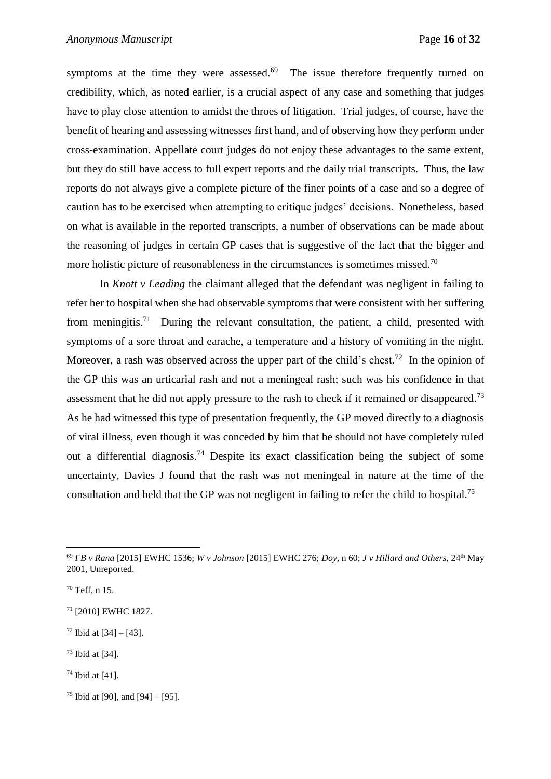symptoms at the time they were assessed. $69$  The issue therefore frequently turned on credibility, which, as noted earlier, is a crucial aspect of any case and something that judges have to play close attention to amidst the throes of litigation. Trial judges, of course, have the benefit of hearing and assessing witnesses first hand, and of observing how they perform under cross-examination. Appellate court judges do not enjoy these advantages to the same extent, but they do still have access to full expert reports and the daily trial transcripts. Thus, the law reports do not always give a complete picture of the finer points of a case and so a degree of caution has to be exercised when attempting to critique judges' decisions. Nonetheless, based on what is available in the reported transcripts, a number of observations can be made about the reasoning of judges in certain GP cases that is suggestive of the fact that the bigger and more holistic picture of reasonableness in the circumstances is sometimes missed.<sup>70</sup>

In *Knott v Leading* the claimant alleged that the defendant was negligent in failing to refer her to hospital when she had observable symptoms that were consistent with her suffering from meningitis.<sup>71</sup> During the relevant consultation, the patient, a child, presented with symptoms of a sore throat and earache, a temperature and a history of vomiting in the night. Moreover, a rash was observed across the upper part of the child's chest.<sup>72</sup> In the opinion of the GP this was an urticarial rash and not a meningeal rash; such was his confidence in that assessment that he did not apply pressure to the rash to check if it remained or disappeared.<sup>73</sup> As he had witnessed this type of presentation frequently, the GP moved directly to a diagnosis of viral illness, even though it was conceded by him that he should not have completely ruled out a differential diagnosis.<sup>74</sup> Despite its exact classification being the subject of some uncertainty, Davies J found that the rash was not meningeal in nature at the time of the consultation and held that the GP was not negligent in failing to refer the child to hospital.<sup>75</sup>

<sup>69</sup> *FB v Rana* [2015] EWHC 1536; *W v Johnson* [2015] EWHC 276; *Doy*, n 60; *J v Hillard and Others*, 24th May 2001, Unreported.

<sup>70</sup> Teff, n 15.

<sup>71</sup> [2010] EWHC 1827.

 $72$  Ibid at [34] – [43].

<sup>73</sup> Ibid at [34].

<sup>74</sup> Ibid at [41].

<sup>&</sup>lt;sup>75</sup> Ibid at [90], and [94] – [95].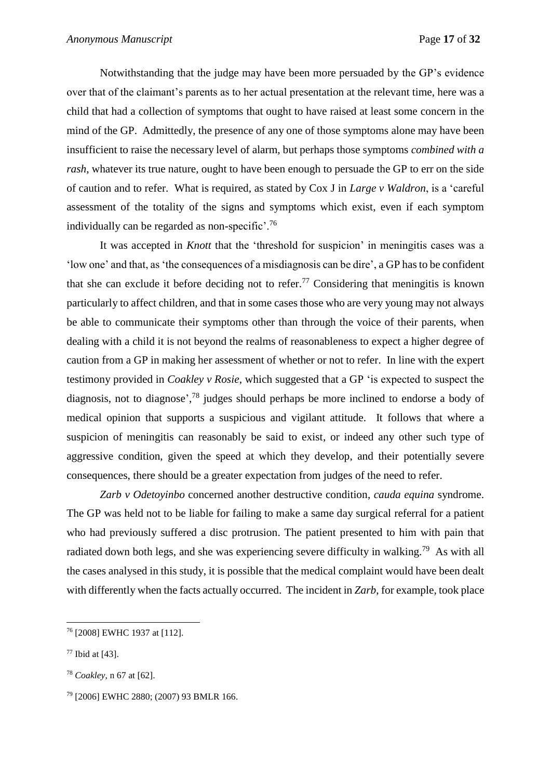Notwithstanding that the judge may have been more persuaded by the GP's evidence over that of the claimant's parents as to her actual presentation at the relevant time, here was a child that had a collection of symptoms that ought to have raised at least some concern in the mind of the GP. Admittedly, the presence of any one of those symptoms alone may have been insufficient to raise the necessary level of alarm, but perhaps those symptoms *combined with a rash*, whatever its true nature, ought to have been enough to persuade the GP to err on the side of caution and to refer. What is required, as stated by Cox J in *Large v Waldron*, is a 'careful assessment of the totality of the signs and symptoms which exist, even if each symptom individually can be regarded as non-specific'.<sup>76</sup>

It was accepted in *Knott* that the 'threshold for suspicion' in meningitis cases was a 'low one' and that, as 'the consequences of a misdiagnosis can be dire', a GP hasto be confident that she can exclude it before deciding not to refer.<sup>77</sup> Considering that meningitis is known particularly to affect children, and that in some cases those who are very young may not always be able to communicate their symptoms other than through the voice of their parents, when dealing with a child it is not beyond the realms of reasonableness to expect a higher degree of caution from a GP in making her assessment of whether or not to refer. In line with the expert testimony provided in *Coakley v Rosie*, which suggested that a GP 'is expected to suspect the diagnosis, not to diagnose',<sup>78</sup> judges should perhaps be more inclined to endorse a body of medical opinion that supports a suspicious and vigilant attitude. It follows that where a suspicion of meningitis can reasonably be said to exist, or indeed any other such type of aggressive condition, given the speed at which they develop, and their potentially severe consequences, there should be a greater expectation from judges of the need to refer.

*Zarb v Odetoyinbo* concerned another destructive condition, *cauda equina* syndrome. The GP was held not to be liable for failing to make a same day surgical referral for a patient who had previously suffered a disc protrusion. The patient presented to him with pain that radiated down both legs, and she was experiencing severe difficulty in walking.<sup>79</sup> As with all the cases analysed in this study, it is possible that the medical complaint would have been dealt with differently when the facts actually occurred. The incident in *Zarb*, for example, took place

<sup>76</sup> [2008] EWHC 1937 at [112].

<sup>77</sup> Ibid at [43].

<sup>78</sup> *Coakley*, n 67 at [62].

<sup>79</sup> [2006] EWHC 2880; (2007) 93 BMLR 166.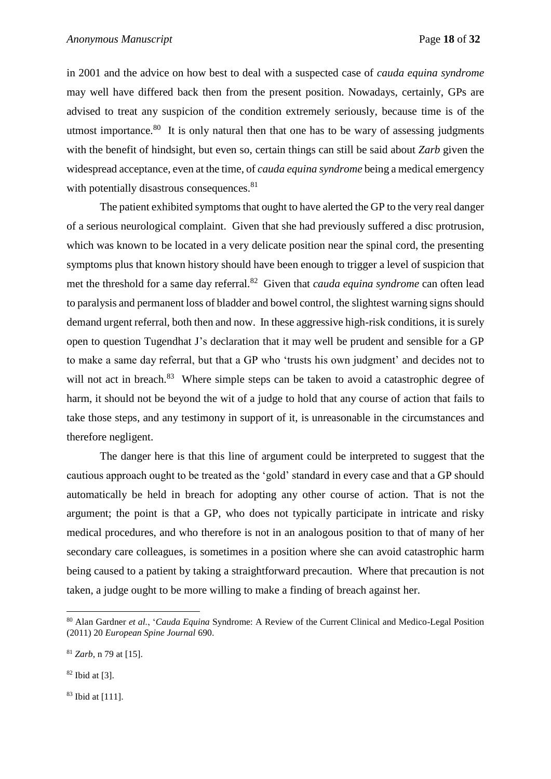in 2001 and the advice on how best to deal with a suspected case of *cauda equina syndrome* may well have differed back then from the present position. Nowadays, certainly, GPs are advised to treat any suspicion of the condition extremely seriously, because time is of the utmost importance.<sup>80</sup> It is only natural then that one has to be wary of assessing judgments with the benefit of hindsight, but even so, certain things can still be said about *Zarb* given the widespread acceptance, even at the time, of *cauda equina syndrome* being a medical emergency with potentially disastrous consequences.<sup>81</sup>

The patient exhibited symptoms that ought to have alerted the GP to the very real danger of a serious neurological complaint. Given that she had previously suffered a disc protrusion, which was known to be located in a very delicate position near the spinal cord, the presenting symptoms plus that known history should have been enough to trigger a level of suspicion that met the threshold for a same day referral.<sup>82</sup> Given that *cauda equina syndrome* can often lead to paralysis and permanent loss of bladder and bowel control, the slightest warning signs should demand urgent referral, both then and now. In these aggressive high-risk conditions, it is surely open to question Tugendhat J's declaration that it may well be prudent and sensible for a GP to make a same day referral, but that a GP who 'trusts his own judgment' and decides not to will not act in breach.<sup>83</sup> Where simple steps can be taken to avoid a catastrophic degree of harm, it should not be beyond the wit of a judge to hold that any course of action that fails to take those steps, and any testimony in support of it, is unreasonable in the circumstances and therefore negligent.

The danger here is that this line of argument could be interpreted to suggest that the cautious approach ought to be treated as the 'gold' standard in every case and that a GP should automatically be held in breach for adopting any other course of action. That is not the argument; the point is that a GP, who does not typically participate in intricate and risky medical procedures, and who therefore is not in an analogous position to that of many of her secondary care colleagues, is sometimes in a position where she can avoid catastrophic harm being caused to a patient by taking a straightforward precaution. Where that precaution is not taken, a judge ought to be more willing to make a finding of breach against her.

 $\overline{a}$ 

<sup>83</sup> Ibid at [111].

<sup>80</sup> Alan Gardner *et al.*, '*Cauda Equina* Syndrome: A Review of the Current Clinical and Medico-Legal Position (2011) 20 *European Spine Journal* 690.

<sup>81</sup> *Zarb*, n 79 at [15].

<sup>82</sup> Ibid at [3].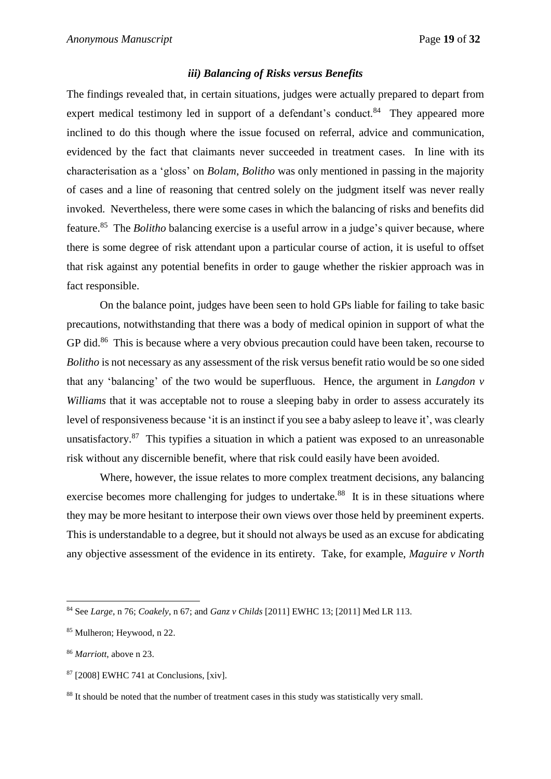## *iii) Balancing of Risks versus Benefits*

The findings revealed that, in certain situations, judges were actually prepared to depart from expert medical testimony led in support of a defendant's conduct.<sup>84</sup> They appeared more inclined to do this though where the issue focused on referral, advice and communication, evidenced by the fact that claimants never succeeded in treatment cases. In line with its characterisation as a 'gloss' on *Bolam*, *Bolitho* was only mentioned in passing in the majority of cases and a line of reasoning that centred solely on the judgment itself was never really invoked. Nevertheless, there were some cases in which the balancing of risks and benefits did feature. 85 The *Bolitho* balancing exercise is a useful arrow in a judge's quiver because, where there is some degree of risk attendant upon a particular course of action, it is useful to offset that risk against any potential benefits in order to gauge whether the riskier approach was in fact responsible.

On the balance point, judges have been seen to hold GPs liable for failing to take basic precautions, notwithstanding that there was a body of medical opinion in support of what the GP did.<sup>86</sup> This is because where a very obvious precaution could have been taken, recourse to *Bolitho* is not necessary as any assessment of the risk versus benefit ratio would be so one sided that any 'balancing' of the two would be superfluous. Hence, the argument in *Langdon v Williams* that it was acceptable not to rouse a sleeping baby in order to assess accurately its level of responsiveness because 'it is an instinct if you see a baby asleep to leave it', was clearly unsatisfactory.<sup>87</sup> This typifies a situation in which a patient was exposed to an unreasonable risk without any discernible benefit, where that risk could easily have been avoided.

Where, however, the issue relates to more complex treatment decisions, any balancing exercise becomes more challenging for judges to undertake.<sup>88</sup> It is in these situations where they may be more hesitant to interpose their own views over those held by preeminent experts. This is understandable to a degree, but it should not always be used as an excuse for abdicating any objective assessment of the evidence in its entirety. Take, for example, *Maguire v North* 

<sup>84</sup> See *Large*, n 76; *Coakely*, n 67; and *Ganz v Childs* [2011] EWHC 13; [2011] Med LR 113.

<sup>85</sup> Mulheron; Heywood, n 22.

<sup>86</sup> *Marriott*, above n 23.

 $87$  [2008] EWHC 741 at Conclusions, [xiv].

<sup>&</sup>lt;sup>88</sup> It should be noted that the number of treatment cases in this study was statistically very small.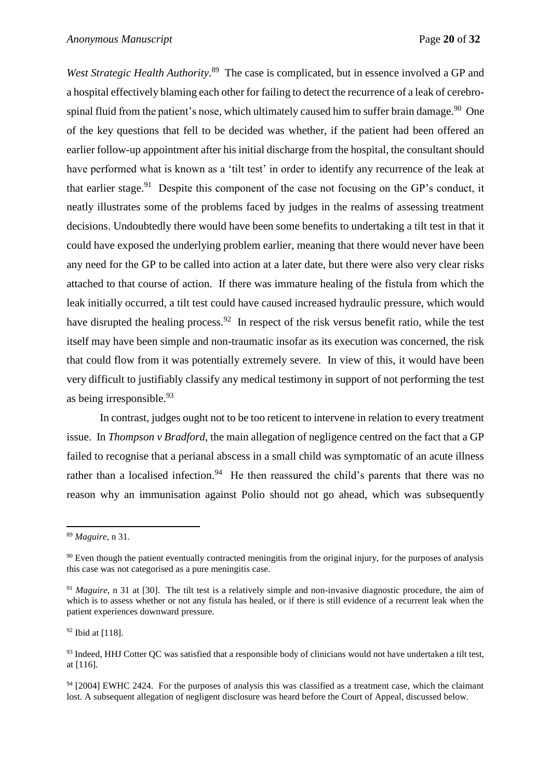West Strategic Health Authority.<sup>89</sup> The case is complicated, but in essence involved a GP and a hospital effectively blaming each other for failing to detect the recurrence of a leak of cerebrospinal fluid from the patient's nose, which ultimately caused him to suffer brain damage.<sup>90</sup> One of the key questions that fell to be decided was whether, if the patient had been offered an earlier follow-up appointment after his initial discharge from the hospital, the consultant should have performed what is known as a 'tilt test' in order to identify any recurrence of the leak at that earlier stage.<sup>91</sup> Despite this component of the case not focusing on the GP's conduct, it neatly illustrates some of the problems faced by judges in the realms of assessing treatment decisions. Undoubtedly there would have been some benefits to undertaking a tilt test in that it could have exposed the underlying problem earlier, meaning that there would never have been any need for the GP to be called into action at a later date, but there were also very clear risks attached to that course of action. If there was immature healing of the fistula from which the leak initially occurred, a tilt test could have caused increased hydraulic pressure, which would have disrupted the healing process.<sup>92</sup> In respect of the risk versus benefit ratio, while the test itself may have been simple and non-traumatic insofar as its execution was concerned, the risk that could flow from it was potentially extremely severe. In view of this, it would have been very difficult to justifiably classify any medical testimony in support of not performing the test as being irresponsible. 93

In contrast, judges ought not to be too reticent to intervene in relation to every treatment issue. In *Thompson v Bradford*, the main allegation of negligence centred on the fact that a GP failed to recognise that a perianal abscess in a small child was symptomatic of an acute illness rather than a localised infection.<sup>94</sup> He then reassured the child's parents that there was no reason why an immunisation against Polio should not go ahead, which was subsequently

1

<sup>92</sup> Ibid at [118].

<sup>89</sup> *Maguire*, n 31.

<sup>&</sup>lt;sup>90</sup> Even though the patient eventually contracted meningitis from the original injury, for the purposes of analysis this case was not categorised as a pure meningitis case.

<sup>&</sup>lt;sup>91</sup> *Maguire*, n 31 at [30]. The tilt test is a relatively simple and non-invasive diagnostic procedure, the aim of which is to assess whether or not any fistula has healed, or if there is still evidence of a recurrent leak when the patient experiences downward pressure.

<sup>&</sup>lt;sup>93</sup> Indeed, HHJ Cotter OC was satisfied that a responsible body of clinicians would not have undertaken a tilt test, at [116].

<sup>94</sup> [2004] EWHC 2424. For the purposes of analysis this was classified as a treatment case, which the claimant lost. A subsequent allegation of negligent disclosure was heard before the Court of Appeal, discussed below.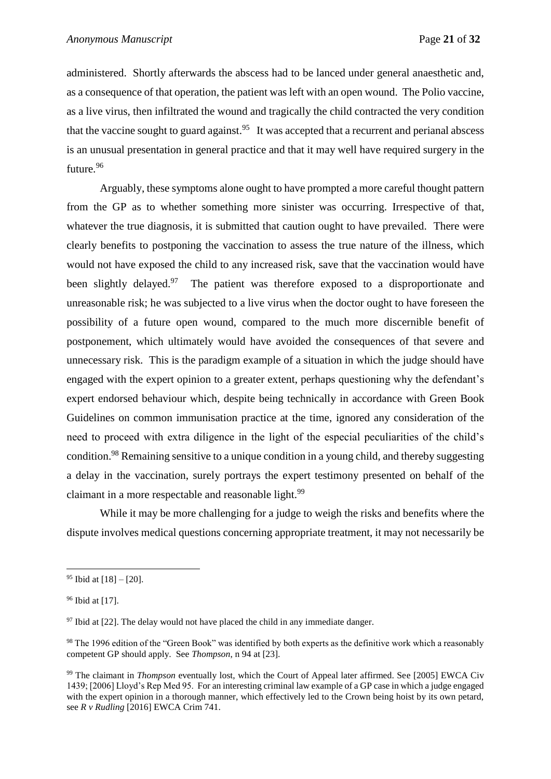administered. Shortly afterwards the abscess had to be lanced under general anaesthetic and, as a consequence of that operation, the patient was left with an open wound. The Polio vaccine, as a live virus, then infiltrated the wound and tragically the child contracted the very condition that the vaccine sought to guard against.<sup>95</sup> It was accepted that a recurrent and perianal abscess is an unusual presentation in general practice and that it may well have required surgery in the future.<sup>96</sup>

Arguably, these symptoms alone ought to have prompted a more careful thought pattern from the GP as to whether something more sinister was occurring. Irrespective of that, whatever the true diagnosis, it is submitted that caution ought to have prevailed. There were clearly benefits to postponing the vaccination to assess the true nature of the illness, which would not have exposed the child to any increased risk, save that the vaccination would have been slightly delayed.<sup>97</sup> The patient was therefore exposed to a disproportionate and unreasonable risk; he was subjected to a live virus when the doctor ought to have foreseen the possibility of a future open wound, compared to the much more discernible benefit of postponement, which ultimately would have avoided the consequences of that severe and unnecessary risk. This is the paradigm example of a situation in which the judge should have engaged with the expert opinion to a greater extent, perhaps questioning why the defendant's expert endorsed behaviour which, despite being technically in accordance with Green Book Guidelines on common immunisation practice at the time, ignored any consideration of the need to proceed with extra diligence in the light of the especial peculiarities of the child's condition.<sup>98</sup> Remaining sensitive to a unique condition in a young child, and thereby suggesting a delay in the vaccination, surely portrays the expert testimony presented on behalf of the claimant in a more respectable and reasonable light.<sup>99</sup>

While it may be more challenging for a judge to weigh the risks and benefits where the dispute involves medical questions concerning appropriate treatment, it may not necessarily be

 $95$  Ibid at [18] – [20].

<sup>96</sup> Ibid at [17].

 $97$  Ibid at [22]. The delay would not have placed the child in any immediate danger.

<sup>&</sup>lt;sup>98</sup> The 1996 edition of the "Green Book" was identified by both experts as the definitive work which a reasonably competent GP should apply. See *Thompson*, n 94 at [23].

<sup>99</sup> The claimant in *Thompson* eventually lost, which the Court of Appeal later affirmed. See [2005] EWCA Civ 1439; [2006] Lloyd's Rep Med 95. For an interesting criminal law example of a GP case in which a judge engaged with the expert opinion in a thorough manner, which effectively led to the Crown being hoist by its own petard, see *R v Rudling* [2016] EWCA Crim 741.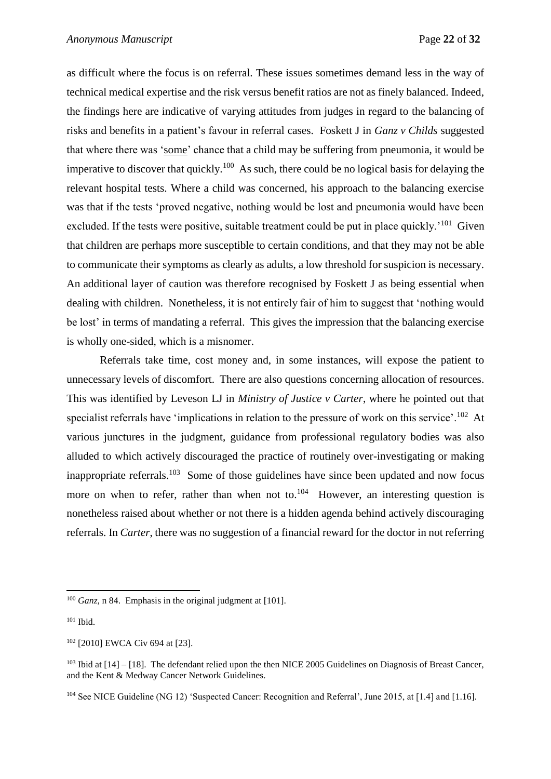as difficult where the focus is on referral. These issues sometimes demand less in the way of technical medical expertise and the risk versus benefit ratios are not as finely balanced. Indeed, the findings here are indicative of varying attitudes from judges in regard to the balancing of risks and benefits in a patient's favour in referral cases. Foskett J in *Ganz v Childs* suggested that where there was 'some' chance that a child may be suffering from pneumonia, it would be imperative to discover that quickly.<sup>100</sup> As such, there could be no logical basis for delaying the relevant hospital tests. Where a child was concerned, his approach to the balancing exercise was that if the tests 'proved negative, nothing would be lost and pneumonia would have been excluded. If the tests were positive, suitable treatment could be put in place quickly.'<sup>101</sup> Given that children are perhaps more susceptible to certain conditions, and that they may not be able to communicate their symptoms as clearly as adults, a low threshold for suspicion is necessary. An additional layer of caution was therefore recognised by Foskett J as being essential when dealing with children. Nonetheless, it is not entirely fair of him to suggest that 'nothing would be lost' in terms of mandating a referral. This gives the impression that the balancing exercise is wholly one-sided, which is a misnomer.

Referrals take time, cost money and, in some instances, will expose the patient to unnecessary levels of discomfort. There are also questions concerning allocation of resources. This was identified by Leveson LJ in *Ministry of Justice v Carter*, where he pointed out that specialist referrals have 'implications in relation to the pressure of work on this service'.<sup>102</sup> At various junctures in the judgment, guidance from professional regulatory bodies was also alluded to which actively discouraged the practice of routinely over-investigating or making inappropriate referrals.<sup>103</sup> Some of those guidelines have since been updated and now focus more on when to refer, rather than when not to.<sup>104</sup> However, an interesting question is nonetheless raised about whether or not there is a hidden agenda behind actively discouraging referrals. In *Carter*, there was no suggestion of a financial reward for the doctor in not referring

<sup>&</sup>lt;sup>100</sup> *Ganz*, n 84. Emphasis in the original judgment at [101].

<sup>101</sup> Ibid.

<sup>102</sup> [2010] EWCA Civ 694 at [23].

<sup>&</sup>lt;sup>103</sup> Ibid at [14] – [18]. The defendant relied upon the then NICE 2005 Guidelines on Diagnosis of Breast Cancer, and the Kent & Medway Cancer Network Guidelines.

<sup>104</sup> See NICE Guideline (NG 12) 'Suspected Cancer: Recognition and Referral', June 2015, at [1.4] and [1.16].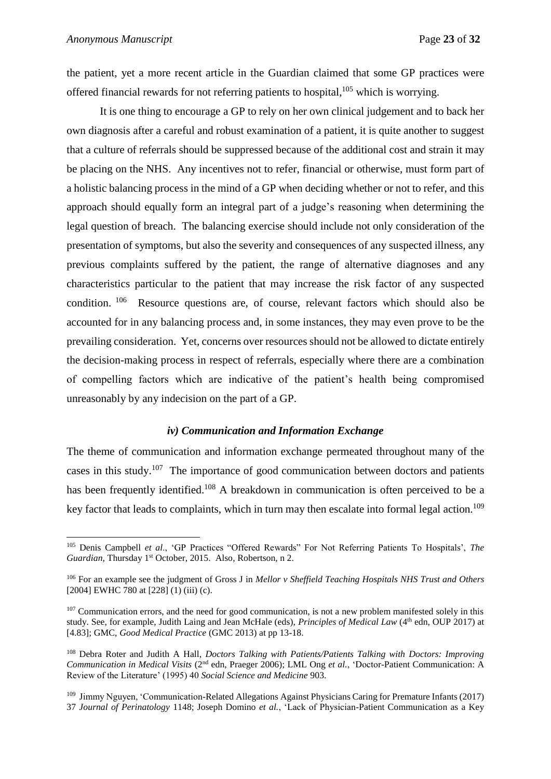**.** 

the patient, yet a more recent article in the Guardian claimed that some GP practices were offered financial rewards for not referring patients to hospital,<sup>105</sup> which is worrying.

It is one thing to encourage a GP to rely on her own clinical judgement and to back her own diagnosis after a careful and robust examination of a patient, it is quite another to suggest that a culture of referrals should be suppressed because of the additional cost and strain it may be placing on the NHS. Any incentives not to refer, financial or otherwise, must form part of a holistic balancing process in the mind of a GP when deciding whether or not to refer, and this approach should equally form an integral part of a judge's reasoning when determining the legal question of breach. The balancing exercise should include not only consideration of the presentation of symptoms, but also the severity and consequences of any suspected illness, any previous complaints suffered by the patient, the range of alternative diagnoses and any characteristics particular to the patient that may increase the risk factor of any suspected condition. <sup>106</sup> Resource questions are, of course, relevant factors which should also be accounted for in any balancing process and, in some instances, they may even prove to be the prevailing consideration. Yet, concerns over resources should not be allowed to dictate entirely the decision-making process in respect of referrals, especially where there are a combination of compelling factors which are indicative of the patient's health being compromised unreasonably by any indecision on the part of a GP.

# *iv) Communication and Information Exchange*

The theme of communication and information exchange permeated throughout many of the cases in this study.<sup>107</sup> The importance of good communication between doctors and patients has been frequently identified.<sup>108</sup> A breakdown in communication is often perceived to be a key factor that leads to complaints, which in turn may then escalate into formal legal action.<sup>109</sup>

<sup>105</sup> Denis Campbell *et al*., 'GP Practices "Offered Rewards" For Not Referring Patients To Hospitals', *The Guardian, Thursday 1<sup>st</sup> October, 2015. Also, Robertson, n 2.* 

<sup>106</sup> For an example see the judgment of Gross J in *Mellor v Sheffield Teaching Hospitals NHS Trust and Others* [2004] EWHC 780 at [228] (1) (iii) (c).

<sup>&</sup>lt;sup>107</sup> Communication errors, and the need for good communication, is not a new problem manifested solely in this study. See, for example, Judith Laing and Jean McHale (eds), *Principles of Medical Law* (4th edn, OUP 2017) at [4.83]; GMC, *Good Medical Practice* (GMC 2013) at pp 13-18.

<sup>108</sup> Debra Roter and Judith A Hall, *Doctors Talking with Patients/Patients Talking with Doctors: Improving Communication in Medical Visits* (2nd edn, Praeger 2006); LML Ong *et al.*, 'Doctor-Patient Communication: A Review of the Literature' (1995) 40 *Social Science and Medicine* 903.

<sup>&</sup>lt;sup>109</sup> Jimmy Nguyen, 'Communication-Related Allegations Against Physicians Caring for Premature Infants (2017) 37 *Journal of Perinatology* 1148; Joseph Domino *et al.*, 'Lack of Physician-Patient Communication as a Key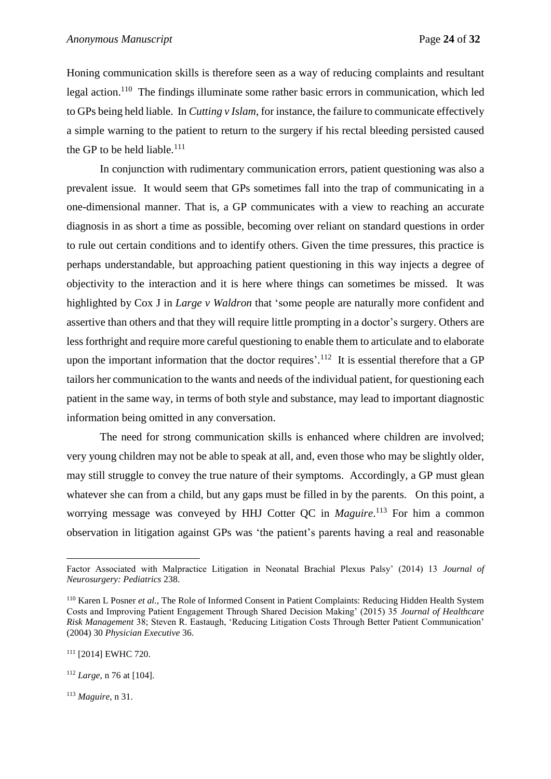Honing communication skills is therefore seen as a way of reducing complaints and resultant legal action.<sup>110</sup> The findings illuminate some rather basic errors in communication, which led to GPs being held liable. In *Cutting v Islam*, for instance, the failure to communicate effectively a simple warning to the patient to return to the surgery if his rectal bleeding persisted caused the GP to be held liable.<sup>111</sup>

In conjunction with rudimentary communication errors, patient questioning was also a prevalent issue. It would seem that GPs sometimes fall into the trap of communicating in a one-dimensional manner. That is, a GP communicates with a view to reaching an accurate diagnosis in as short a time as possible, becoming over reliant on standard questions in order to rule out certain conditions and to identify others. Given the time pressures, this practice is perhaps understandable, but approaching patient questioning in this way injects a degree of objectivity to the interaction and it is here where things can sometimes be missed. It was highlighted by Cox J in *Large v Waldron* that 'some people are naturally more confident and assertive than others and that they will require little prompting in a doctor's surgery. Others are less forthright and require more careful questioning to enable them to articulate and to elaborate upon the important information that the doctor requires'.<sup>112</sup> It is essential therefore that a GP tailors her communication to the wants and needs of the individual patient, for questioning each patient in the same way, in terms of both style and substance, may lead to important diagnostic information being omitted in any conversation.

The need for strong communication skills is enhanced where children are involved; very young children may not be able to speak at all, and, even those who may be slightly older, may still struggle to convey the true nature of their symptoms. Accordingly, a GP must glean whatever she can from a child, but any gaps must be filled in by the parents. On this point, a worrying message was conveyed by HHJ Cotter QC in *Maguire*. <sup>113</sup> For him a common observation in litigation against GPs was 'the patient's parents having a real and reasonable

<sup>113</sup> *Maguire*, n 31.

**<sup>.</sup>** Factor Associated with Malpractice Litigation in Neonatal Brachial Plexus Palsy' (2014) 13 *Journal of Neurosurgery: Pediatrics* 238.

<sup>110</sup> Karen L Posner *et al.*, The Role of Informed Consent in Patient Complaints: Reducing Hidden Health System Costs and Improving Patient Engagement Through Shared Decision Making' (2015) 35 *Journal of Healthcare Risk Management* 38; Steven R. Eastaugh, 'Reducing Litigation Costs Through Better Patient Communication' (2004) 30 *Physician Executive* 36.

<sup>111</sup> [2014] EWHC 720.

<sup>112</sup> *Large*, n 76 at [104].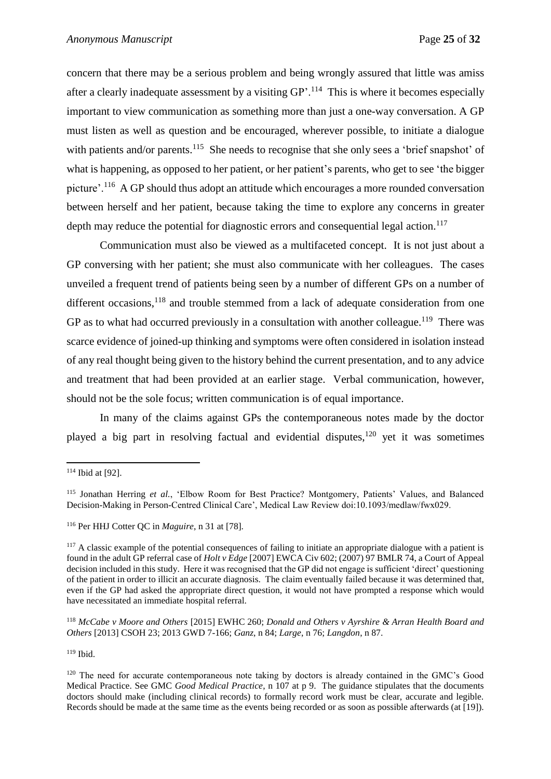concern that there may be a serious problem and being wrongly assured that little was amiss after a clearly inadequate assessment by a visiting  $GP$ <sup>'.114</sup> This is where it becomes especially important to view communication as something more than just a one-way conversation. A GP must listen as well as question and be encouraged, wherever possible, to initiate a dialogue with patients and/or parents.<sup>115</sup> She needs to recognise that she only sees a 'brief snapshot' of what is happening, as opposed to her patient, or her patient's parents, who get to see 'the bigger picture'.<sup>116</sup> A GP should thus adopt an attitude which encourages a more rounded conversation between herself and her patient, because taking the time to explore any concerns in greater depth may reduce the potential for diagnostic errors and consequential legal action.<sup>117</sup>

Communication must also be viewed as a multifaceted concept. It is not just about a GP conversing with her patient; she must also communicate with her colleagues. The cases unveiled a frequent trend of patients being seen by a number of different GPs on a number of different occasions, $118$  and trouble stemmed from a lack of adequate consideration from one GP as to what had occurred previously in a consultation with another colleague.<sup>119</sup> There was scarce evidence of joined-up thinking and symptoms were often considered in isolation instead of any real thought being given to the history behind the current presentation, and to any advice and treatment that had been provided at an earlier stage. Verbal communication, however, should not be the sole focus; written communication is of equal importance.

In many of the claims against GPs the contemporaneous notes made by the doctor played a big part in resolving factual and evidential disputes, $120$  yet it was sometimes

1

<sup>118</sup> *McCabe v Moore and Others* [2015] EWHC 260; *Donald and Others v Ayrshire & Arran Health Board and Others* [2013] CSOH 23; 2013 GWD 7-166; *Ganz*, n 84; *Large*, n 76; *Langdon*, n 87.

<sup>119</sup> Ibid.

<sup>114</sup> Ibid at [92].

<sup>115</sup> Jonathan Herring *et al.*, 'Elbow Room for Best Practice? Montgomery, Patients' Values, and Balanced Decision-Making in Person-Centred Clinical Care', Medical Law Review doi:10.1093/medlaw/fwx029.

<sup>116</sup> Per HHJ Cotter QC in *Maguire*, n 31 at [78].

<sup>&</sup>lt;sup>117</sup> A classic example of the potential consequences of failing to initiate an appropriate dialogue with a patient is found in the adult GP referral case of *Holt v Edge* [2007] EWCA Civ 602; (2007) 97 BMLR 74, a Court of Appeal decision included in this study. Here it was recognised that the GP did not engage is sufficient 'direct' questioning of the patient in order to illicit an accurate diagnosis. The claim eventually failed because it was determined that, even if the GP had asked the appropriate direct question, it would not have prompted a response which would have necessitated an immediate hospital referral.

<sup>&</sup>lt;sup>120</sup> The need for accurate contemporaneous note taking by doctors is already contained in the GMC's Good Medical Practice. See GMC *Good Medical Practice*, n 107 at p 9. The guidance stipulates that the documents doctors should make (including clinical records) to formally record work must be clear, accurate and legible. Records should be made at the same time as the events being recorded or as soon as possible afterwards (at [19]).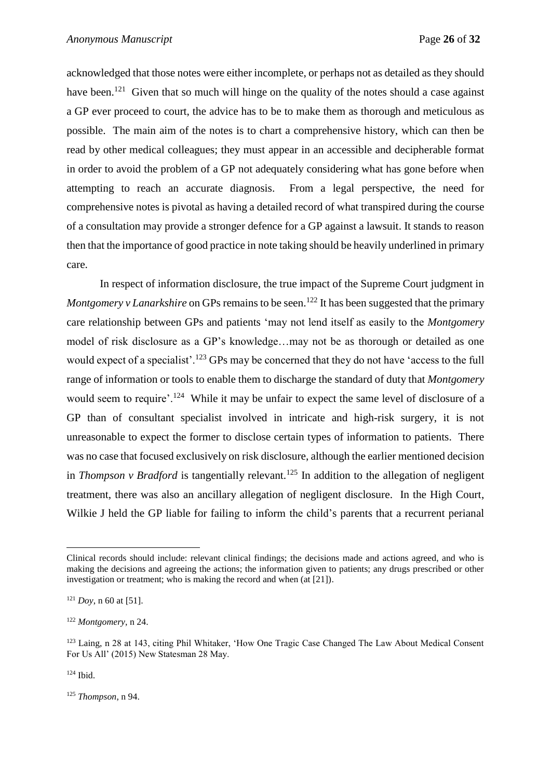acknowledged that those notes were either incomplete, or perhaps not as detailed as they should have been.<sup>121</sup> Given that so much will hinge on the quality of the notes should a case against a GP ever proceed to court, the advice has to be to make them as thorough and meticulous as possible. The main aim of the notes is to chart a comprehensive history, which can then be read by other medical colleagues; they must appear in an accessible and decipherable format in order to avoid the problem of a GP not adequately considering what has gone before when attempting to reach an accurate diagnosis. From a legal perspective, the need for comprehensive notes is pivotal as having a detailed record of what transpired during the course of a consultation may provide a stronger defence for a GP against a lawsuit. It stands to reason then that the importance of good practice in note taking should be heavily underlined in primary care.

In respect of information disclosure, the true impact of the Supreme Court judgment in *Montgomery v Lanarkshire* on GPs remains to be seen.<sup>122</sup> It has been suggested that the primary care relationship between GPs and patients 'may not lend itself as easily to the *Montgomery* model of risk disclosure as a GP's knowledge…may not be as thorough or detailed as one would expect of a specialist'.<sup>123</sup> GPs may be concerned that they do not have 'access to the full range of information or tools to enable them to discharge the standard of duty that *Montgomery* would seem to require'.<sup>124</sup> While it may be unfair to expect the same level of disclosure of a GP than of consultant specialist involved in intricate and high-risk surgery, it is not unreasonable to expect the former to disclose certain types of information to patients. There was no case that focused exclusively on risk disclosure, although the earlier mentioned decision in *Thompson v Bradford* is tangentially relevant.<sup>125</sup> In addition to the allegation of negligent treatment, there was also an ancillary allegation of negligent disclosure. In the High Court, Wilkie J held the GP liable for failing to inform the child's parents that a recurrent perianal

1

<sup>125</sup> *Thompson*, n 94.

Clinical records should include: relevant clinical findings; the decisions made and actions agreed, and who is making the decisions and agreeing the actions; the information given to patients; any drugs prescribed or other investigation or treatment; who is making the record and when (at [21]).

<sup>121</sup> *Doy*, n 60 at [51].

<sup>122</sup> *Montgomery*, n 24.

<sup>123</sup> Laing, n 28 at 143, citing Phil Whitaker, 'How One Tragic Case Changed The Law About Medical Consent For Us All' (2015) New Statesman 28 May.

 $124$  Ibid.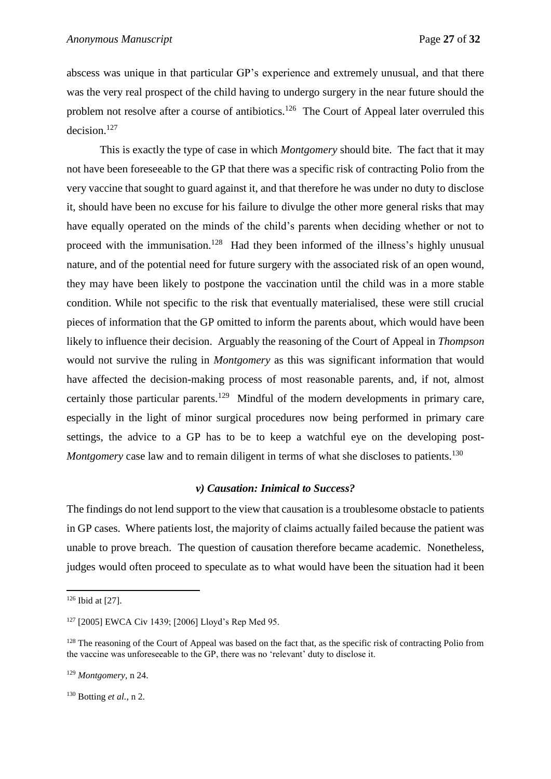abscess was unique in that particular GP's experience and extremely unusual, and that there was the very real prospect of the child having to undergo surgery in the near future should the problem not resolve after a course of antibiotics.<sup>126</sup> The Court of Appeal later overruled this decision. 127

This is exactly the type of case in which *Montgomery* should bite. The fact that it may not have been foreseeable to the GP that there was a specific risk of contracting Polio from the very vaccine that sought to guard against it, and that therefore he was under no duty to disclose it, should have been no excuse for his failure to divulge the other more general risks that may have equally operated on the minds of the child's parents when deciding whether or not to proceed with the immunisation.<sup>128</sup> Had they been informed of the illness's highly unusual nature, and of the potential need for future surgery with the associated risk of an open wound, they may have been likely to postpone the vaccination until the child was in a more stable condition. While not specific to the risk that eventually materialised, these were still crucial pieces of information that the GP omitted to inform the parents about, which would have been likely to influence their decision. Arguably the reasoning of the Court of Appeal in *Thompson* would not survive the ruling in *Montgomery* as this was significant information that would have affected the decision-making process of most reasonable parents, and, if not, almost certainly those particular parents.<sup>129</sup> Mindful of the modern developments in primary care, especially in the light of minor surgical procedures now being performed in primary care settings, the advice to a GP has to be to keep a watchful eye on the developing post-*Montgomery* case law and to remain diligent in terms of what she discloses to patients.<sup>130</sup>

#### *v) Causation: Inimical to Success?*

The findings do not lend support to the view that causation is a troublesome obstacle to patients in GP cases. Where patients lost, the majority of claims actually failed because the patient was unable to prove breach. The question of causation therefore became academic. Nonetheless, judges would often proceed to speculate as to what would have been the situation had it been

<sup>126</sup> Ibid at [27].

<sup>127</sup> [2005] EWCA Civ 1439; [2006] Lloyd's Rep Med 95.

<sup>&</sup>lt;sup>128</sup> The reasoning of the Court of Appeal was based on the fact that, as the specific risk of contracting Polio from the vaccine was unforeseeable to the GP, there was no 'relevant' duty to disclose it.

<sup>129</sup> *Montgomery*, n 24.

<sup>130</sup> Botting *et al.*, n 2.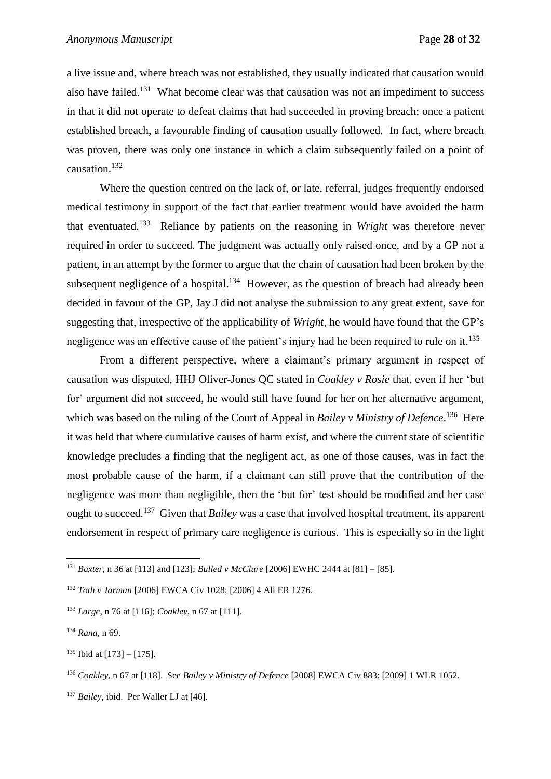a live issue and, where breach was not established, they usually indicated that causation would also have failed.<sup>131</sup> What become clear was that causation was not an impediment to success in that it did not operate to defeat claims that had succeeded in proving breach; once a patient established breach, a favourable finding of causation usually followed. In fact, where breach was proven, there was only one instance in which a claim subsequently failed on a point of causation.<sup>132</sup>

Where the question centred on the lack of, or late, referral, judges frequently endorsed medical testimony in support of the fact that earlier treatment would have avoided the harm that eventuated.<sup>133</sup> Reliance by patients on the reasoning in *Wright* was therefore never required in order to succeed. The judgment was actually only raised once, and by a GP not a patient, in an attempt by the former to argue that the chain of causation had been broken by the subsequent negligence of a hospital.<sup>134</sup> However, as the question of breach had already been decided in favour of the GP, Jay J did not analyse the submission to any great extent, save for suggesting that, irrespective of the applicability of *Wright*, he would have found that the GP's negligence was an effective cause of the patient's injury had he been required to rule on it.<sup>135</sup>

From a different perspective, where a claimant's primary argument in respect of causation was disputed, HHJ Oliver-Jones QC stated in *Coakley v Rosie* that, even if her 'but for' argument did not succeed, he would still have found for her on her alternative argument, which was based on the ruling of the Court of Appeal in *Bailey v Ministry of Defence*.<sup>136</sup> Here it was held that where cumulative causes of harm exist, and where the current state of scientific knowledge precludes a finding that the negligent act, as one of those causes, was in fact the most probable cause of the harm, if a claimant can still prove that the contribution of the negligence was more than negligible, then the 'but for' test should be modified and her case ought to succeed.<sup>137</sup> Given that *Bailey* was a case that involved hospital treatment, its apparent endorsement in respect of primary care negligence is curious. This is especially so in the light

<sup>131</sup> *Baxter*, n 36 at [113] and [123]; *Bulled v McClure* [2006] EWHC 2444 at [81] – [85].

<sup>132</sup> *Toth v Jarman* [2006] EWCA Civ 1028; [2006] 4 All ER 1276.

<sup>133</sup> *Large*, n 76 at [116]; *Coakley*, n 67 at [111].

<sup>134</sup> *Rana*, n 69.

 $135$  Ibid at  $[173] - [175]$ .

<sup>136</sup> *Coakley*, n 67 at [118]. See *Bailey v Ministry of Defence* [2008] EWCA Civ 883; [2009] 1 WLR 1052.

<sup>137</sup> *Bailey*, ibid. Per Waller LJ at [46].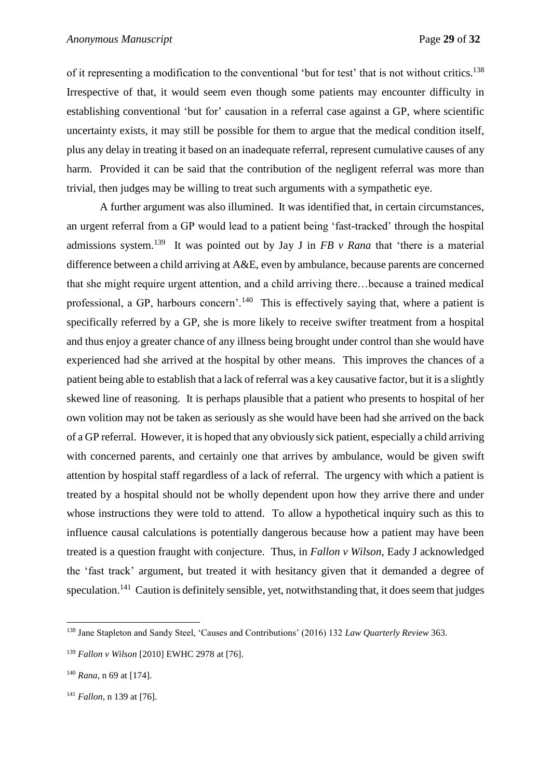of it representing a modification to the conventional 'but for test' that is not without critics.<sup>138</sup> Irrespective of that, it would seem even though some patients may encounter difficulty in establishing conventional 'but for' causation in a referral case against a GP, where scientific uncertainty exists, it may still be possible for them to argue that the medical condition itself, plus any delay in treating it based on an inadequate referral, represent cumulative causes of any harm. Provided it can be said that the contribution of the negligent referral was more than trivial, then judges may be willing to treat such arguments with a sympathetic eye.

A further argument was also illumined. It was identified that, in certain circumstances, an urgent referral from a GP would lead to a patient being 'fast-tracked' through the hospital admissions system.<sup>139</sup> It was pointed out by Jay J in  $FB$  v Rana that 'there is a material difference between a child arriving at A&E, even by ambulance, because parents are concerned that she might require urgent attention, and a child arriving there…because a trained medical professional, a GP, harbours concern'.<sup>140</sup> This is effectively saying that, where a patient is specifically referred by a GP, she is more likely to receive swifter treatment from a hospital and thus enjoy a greater chance of any illness being brought under control than she would have experienced had she arrived at the hospital by other means. This improves the chances of a patient being able to establish that a lack of referral was a key causative factor, but it is a slightly skewed line of reasoning. It is perhaps plausible that a patient who presents to hospital of her own volition may not be taken as seriously as she would have been had she arrived on the back of a GP referral. However, it is hoped that any obviously sick patient, especially a child arriving with concerned parents, and certainly one that arrives by ambulance, would be given swift attention by hospital staff regardless of a lack of referral. The urgency with which a patient is treated by a hospital should not be wholly dependent upon how they arrive there and under whose instructions they were told to attend. To allow a hypothetical inquiry such as this to influence causal calculations is potentially dangerous because how a patient may have been treated is a question fraught with conjecture. Thus, in *Fallon v Wilson*, Eady J acknowledged the 'fast track' argument, but treated it with hesitancy given that it demanded a degree of speculation.<sup>141</sup> Caution is definitely sensible, yet, notwithstanding that, it does seem that judges

<sup>138</sup> Jane Stapleton and Sandy Steel, 'Causes and Contributions' (2016) 132 *Law Quarterly Review* 363.

<sup>139</sup> *Fallon v Wilson* [2010] EWHC 2978 at [76].

<sup>140</sup> *Rana*, n 69 at [174].

<sup>141</sup> *Fallon*, n 139 at [76].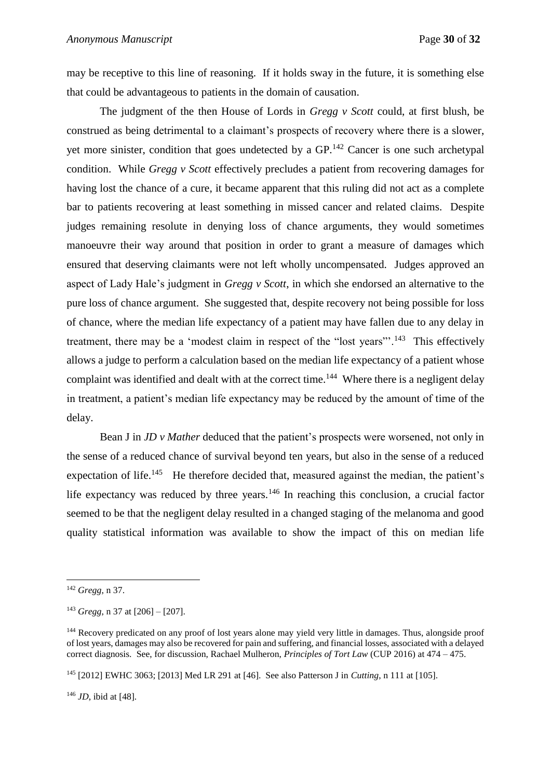may be receptive to this line of reasoning. If it holds sway in the future, it is something else that could be advantageous to patients in the domain of causation.

The judgment of the then House of Lords in *Gregg v Scott* could, at first blush, be construed as being detrimental to a claimant's prospects of recovery where there is a slower, yet more sinister, condition that goes undetected by a GP.<sup>142</sup> Cancer is one such archetypal condition. While *Gregg v Scott* effectively precludes a patient from recovering damages for having lost the chance of a cure, it became apparent that this ruling did not act as a complete bar to patients recovering at least something in missed cancer and related claims. Despite judges remaining resolute in denying loss of chance arguments, they would sometimes manoeuvre their way around that position in order to grant a measure of damages which ensured that deserving claimants were not left wholly uncompensated. Judges approved an aspect of Lady Hale's judgment in *Gregg v Scott*, in which she endorsed an alternative to the pure loss of chance argument. She suggested that, despite recovery not being possible for loss of chance, where the median life expectancy of a patient may have fallen due to any delay in treatment, there may be a 'modest claim in respect of the "lost years"<sup>143</sup> This effectively allows a judge to perform a calculation based on the median life expectancy of a patient whose complaint was identified and dealt with at the correct time.<sup>144</sup> Where there is a negligent delay in treatment, a patient's median life expectancy may be reduced by the amount of time of the delay.

Bean J in *JD v Mather* deduced that the patient's prospects were worsened, not only in the sense of a reduced chance of survival beyond ten years, but also in the sense of a reduced expectation of life.<sup>145</sup> He therefore decided that, measured against the median, the patient's life expectancy was reduced by three years.<sup>146</sup> In reaching this conclusion, a crucial factor seemed to be that the negligent delay resulted in a changed staging of the melanoma and good quality statistical information was available to show the impact of this on median life

 $\overline{a}$ 

<sup>146</sup> *JD*, ibid at [48].

<sup>142</sup> *Gregg*, n 37.

<sup>143</sup> *Gregg*, n 37 at [206] – [207].

<sup>&</sup>lt;sup>144</sup> Recovery predicated on any proof of lost years alone may yield very little in damages. Thus, alongside proof of lost years, damages may also be recovered for pain and suffering, and financial losses, associated with a delayed correct diagnosis. See, for discussion, Rachael Mulheron, *Principles of Tort Law* (CUP 2016) at 474 – 475.

<sup>145</sup> [2012] EWHC 3063; [2013] Med LR 291 at [46]. See also Patterson J in *Cutting*, n 111 at [105].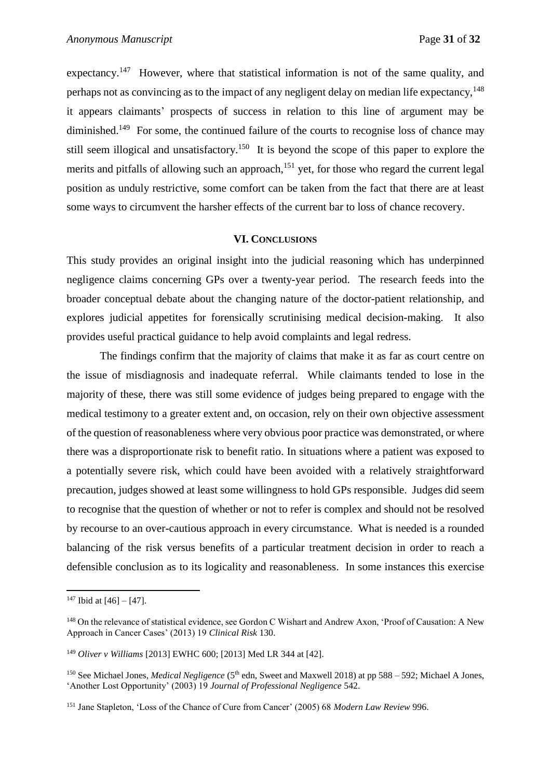expectancy.<sup>147</sup> However, where that statistical information is not of the same quality, and perhaps not as convincing as to the impact of any negligent delay on median life expectancy,<sup>148</sup> it appears claimants' prospects of success in relation to this line of argument may be diminished.<sup>149</sup> For some, the continued failure of the courts to recognise loss of chance may still seem illogical and unsatisfactory.<sup>150</sup> It is beyond the scope of this paper to explore the merits and pitfalls of allowing such an approach,<sup>151</sup> yet, for those who regard the current legal position as unduly restrictive, some comfort can be taken from the fact that there are at least some ways to circumvent the harsher effects of the current bar to loss of chance recovery.

#### **VI. CONCLUSIONS**

This study provides an original insight into the judicial reasoning which has underpinned negligence claims concerning GPs over a twenty-year period. The research feeds into the broader conceptual debate about the changing nature of the doctor-patient relationship, and explores judicial appetites for forensically scrutinising medical decision-making. It also provides useful practical guidance to help avoid complaints and legal redress.

The findings confirm that the majority of claims that make it as far as court centre on the issue of misdiagnosis and inadequate referral. While claimants tended to lose in the majority of these, there was still some evidence of judges being prepared to engage with the medical testimony to a greater extent and, on occasion, rely on their own objective assessment of the question of reasonableness where very obvious poor practice was demonstrated, or where there was a disproportionate risk to benefit ratio. In situations where a patient was exposed to a potentially severe risk, which could have been avoided with a relatively straightforward precaution, judges showed at least some willingness to hold GPs responsible. Judges did seem to recognise that the question of whether or not to refer is complex and should not be resolved by recourse to an over-cautious approach in every circumstance. What is needed is a rounded balancing of the risk versus benefits of a particular treatment decision in order to reach a defensible conclusion as to its logicality and reasonableness. In some instances this exercise

 $147$  Ibid at [46] – [47].

<sup>148</sup> On the relevance of statistical evidence, see Gordon C Wishart and Andrew Axon, 'Proof of Causation: A New Approach in Cancer Cases' (2013) 19 *Clinical Risk* 130.

<sup>149</sup> *Oliver v Williams* [2013] EWHC 600; [2013] Med LR 344 at [42].

<sup>&</sup>lt;sup>150</sup> See Michael Jones, *Medical Negligence* (5<sup>th</sup> edn, Sweet and Maxwell 2018) at pp 588 – 592; Michael A Jones, 'Another Lost Opportunity' (2003) 19 *Journal of Professional Negligence* 542.

<sup>151</sup> Jane Stapleton, 'Loss of the Chance of Cure from Cancer' (2005) 68 *Modern Law Review* 996.